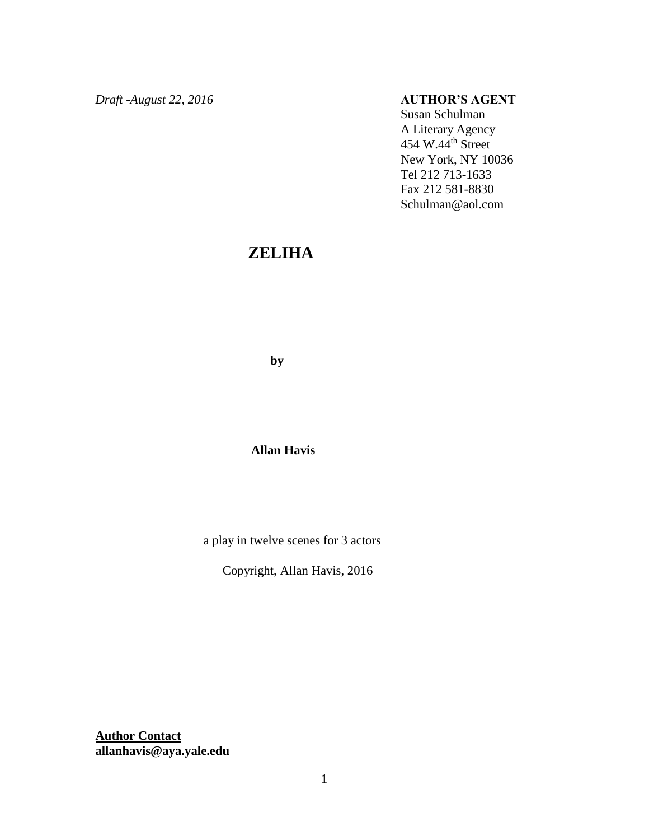*Draft -August 22, 2016* **AUTHOR'S AGENT**

Susan Schulman A Literary Agency 454 W.44th Street New York, NY 10036 Tel 212 713-1633 Fax 212 581-8830 Schulman@aol.com

# **ZELIHA**

 **by**

### **Allan Havis**

a play in twelve scenes for 3 actors

Copyright, Allan Havis, 2016

**Author Contact allanhavis@aya.yale.edu**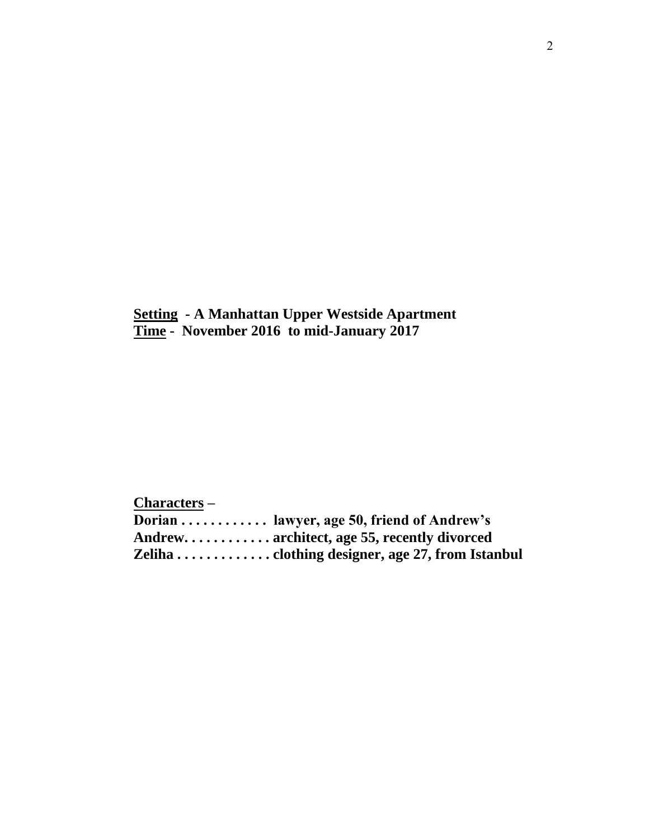**Setting - A Manhattan Upper Westside Apartment Time - November 2016 to mid-January 2017**

**Characters –**

**Dorian . . . . . . . . . . . . lawyer, age 50, friend of Andrew's Andrew. . . . . . . . . . . . architect, age 55, recently divorced Zeliha . . . . . . . . . . . . . clothing designer, age 27, from Istanbul**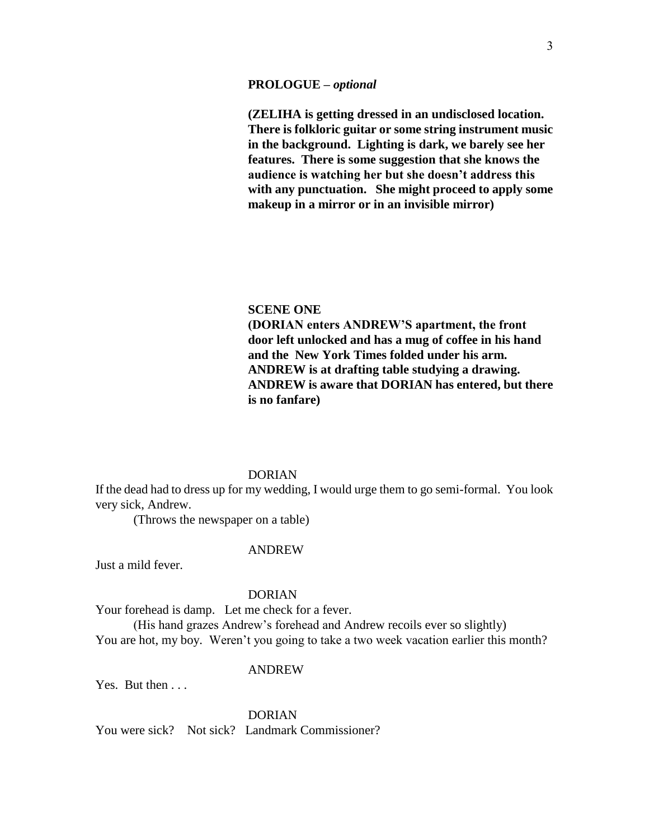#### **PROLOGUE –** *optional*

**(ZELIHA is getting dressed in an undisclosed location. There is folkloric guitar or some string instrument music in the background. Lighting is dark, we barely see her features. There is some suggestion that she knows the audience is watching her but she doesn't address this with any punctuation. She might proceed to apply some makeup in a mirror or in an invisible mirror)**

#### **SCENE ONE**

**(DORIAN enters ANDREW'S apartment, the front door left unlocked and has a mug of coffee in his hand and the New York Times folded under his arm. ANDREW is at drafting table studying a drawing. ANDREW is aware that DORIAN has entered, but there is no fanfare)**

### DORIAN

If the dead had to dress up for my wedding, I would urge them to go semi-formal. You look very sick, Andrew.

(Throws the newspaper on a table)

#### ANDREW

Just a mild fever.

#### DORIAN

Your forehead is damp. Let me check for a fever.

(His hand grazes Andrew's forehead and Andrew recoils ever so slightly) You are hot, my boy. Weren't you going to take a two week vacation earlier this month?

#### ANDREW

Yes. But then ...

DORIAN You were sick? Not sick? Landmark Commissioner?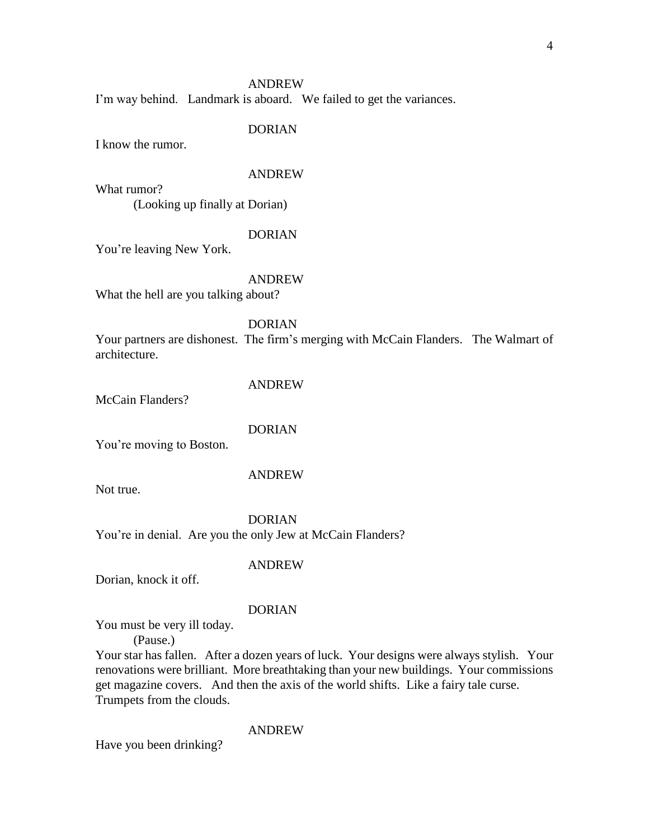I'm way behind. Landmark is aboard. We failed to get the variances.

#### DORIAN

I know the rumor.

#### ANDREW

What rumor? (Looking up finally at Dorian)

#### DORIAN

You're leaving New York.

### ANDREW

What the hell are you talking about?

DORIAN

Your partners are dishonest. The firm's merging with McCain Flanders. The Walmart of architecture.

McCain Flanders?

#### DORIAN

ANDREW

You're moving to Boston.

### ANDREW

Not true.

#### DORIAN

You're in denial. Are you the only Jew at McCain Flanders?

#### ANDREW

Dorian, knock it off.

#### DORIAN

You must be very ill today.

(Pause.)

Your star has fallen. After a dozen years of luck. Your designs were always stylish. Your renovations were brilliant. More breathtaking than your new buildings. Your commissions get magazine covers. And then the axis of the world shifts. Like a fairy tale curse. Trumpets from the clouds.

#### ANDREW

Have you been drinking?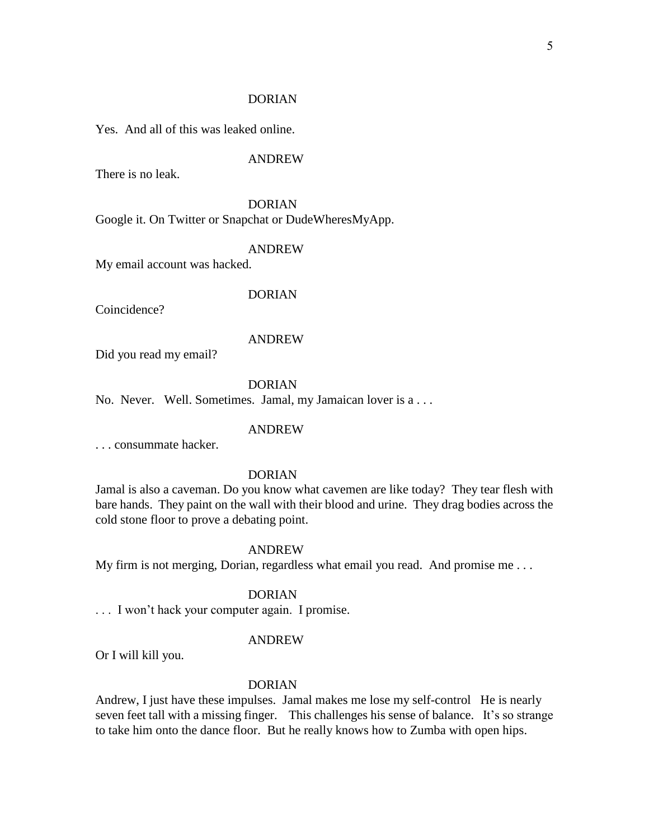#### DORIAN

Yes. And all of this was leaked online.

### ANDREW

There is no leak.

DORIAN Google it. On Twitter or Snapchat or DudeWheresMyApp.

#### ANDREW

My email account was hacked.

#### DORIAN

Coincidence?

#### ANDREW

Did you read my email?

### DORIAN

No. Never. Well. Sometimes. Jamal, my Jamaican lover is a . . .

#### ANDREW

. . . consummate hacker.

### DORIAN

Jamal is also a caveman. Do you know what cavemen are like today? They tear flesh with bare hands. They paint on the wall with their blood and urine. They drag bodies across the cold stone floor to prove a debating point.

#### ANDREW

My firm is not merging, Dorian, regardless what email you read. And promise me . . .

### DORIAN

. . . I won't hack your computer again. I promise.

#### ANDREW

Or I will kill you.

### DORIAN

Andrew, I just have these impulses. Jamal makes me lose my self-control He is nearly seven feet tall with a missing finger. This challenges his sense of balance. It's so strange to take him onto the dance floor. But he really knows how to Zumba with open hips.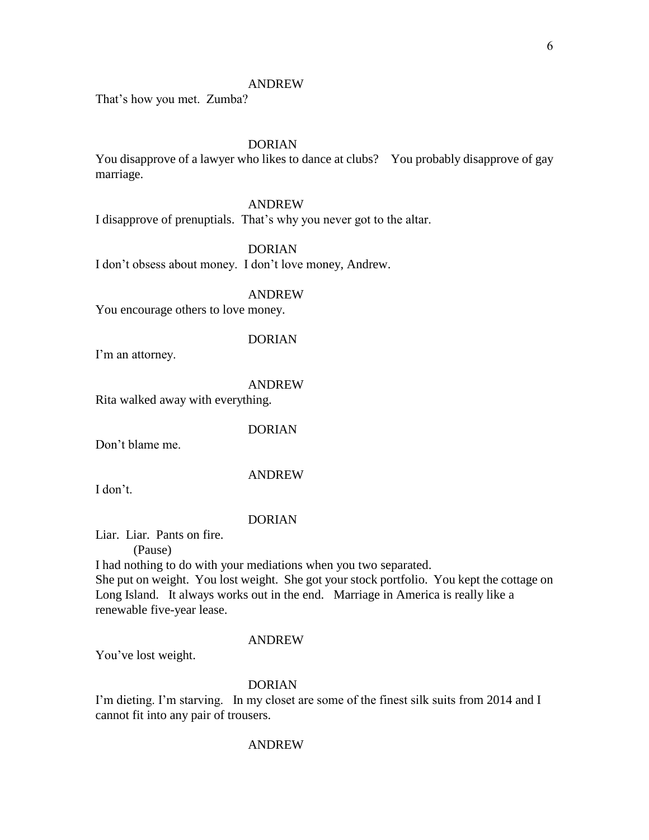That's how you met. Zumba?

### DORIAN

You disapprove of a lawyer who likes to dance at clubs? You probably disapprove of gay marriage.

### ANDREW

I disapprove of prenuptials. That's why you never got to the altar.

DORIAN

I don't obsess about money. I don't love money, Andrew.

#### ANDREW

You encourage others to love money.

#### DORIAN

I'm an attorney.

### ANDREW

Rita walked away with everything.

#### DORIAN

Don't blame me.

#### ANDREW

I don't.

#### DORIAN

Liar. Liar. Pants on fire.

(Pause)

I had nothing to do with your mediations when you two separated. She put on weight. You lost weight. She got your stock portfolio. You kept the cottage on Long Island. It always works out in the end. Marriage in America is really like a renewable five-year lease.

#### ANDREW

You've lost weight.

### DORIAN

I'm dieting. I'm starving. In my closet are some of the finest silk suits from 2014 and I cannot fit into any pair of trousers.

#### ANDREW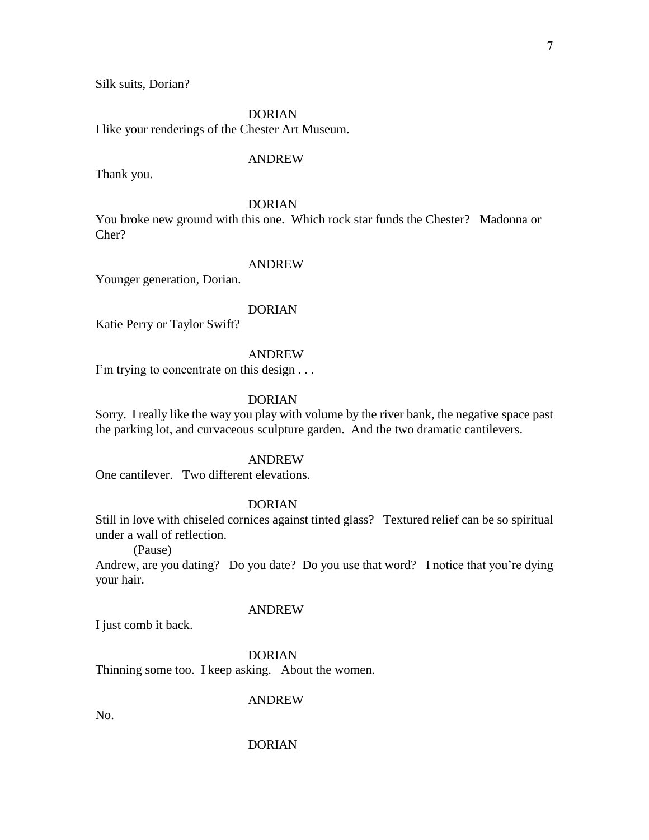Silk suits, Dorian?

DORIAN

I like your renderings of the Chester Art Museum.

#### ANDREW

Thank you.

### DORIAN

You broke new ground with this one. Which rock star funds the Chester? Madonna or Cher?

#### ANDREW

Younger generation, Dorian.

#### DORIAN

Katie Perry or Taylor Swift?

#### ANDREW

I'm trying to concentrate on this design . . .

### DORIAN

Sorry. I really like the way you play with volume by the river bank, the negative space past the parking lot, and curvaceous sculpture garden. And the two dramatic cantilevers.

#### ANDREW

One cantilever. Two different elevations.

#### DORIAN

Still in love with chiseled cornices against tinted glass? Textured relief can be so spiritual under a wall of reflection.

(Pause)

Andrew, are you dating? Do you date? Do you use that word? I notice that you're dying your hair.

#### ANDREW

I just comb it back.

#### DORIAN

Thinning some too. I keep asking. About the women.

#### ANDREW

No.

#### DORIAN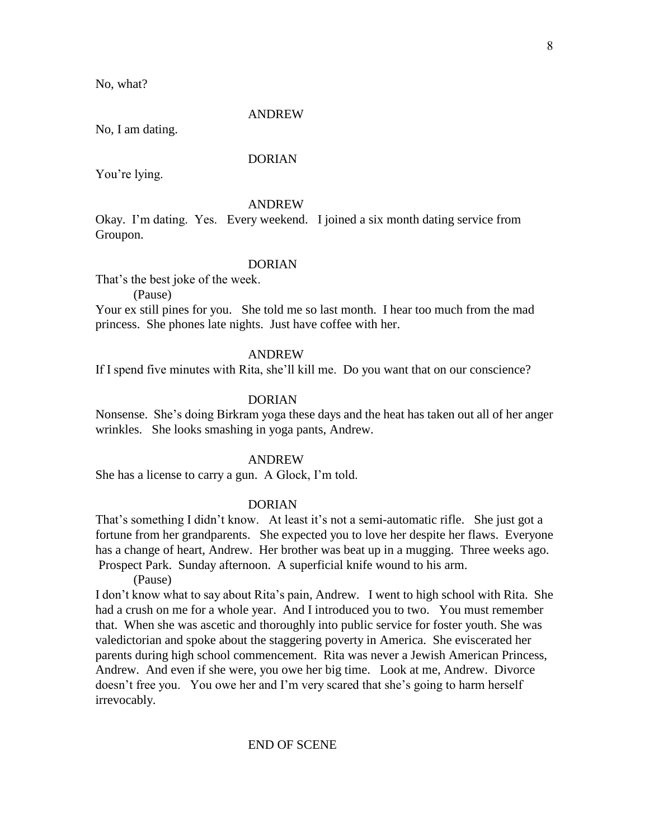No, what?

#### ANDREW

No, I am dating.

### DORIAN

You're lying.

#### ANDREW

Okay. I'm dating. Yes. Every weekend. I joined a six month dating service from Groupon.

### DORIAN

That's the best joke of the week.

(Pause)

Your ex still pines for you. She told me so last month. I hear too much from the mad princess. She phones late nights. Just have coffee with her.

#### ANDREW

If I spend five minutes with Rita, she'll kill me. Do you want that on our conscience?

### DORIAN

Nonsense. She's doing Birkram yoga these days and the heat has taken out all of her anger wrinkles. She looks smashing in yoga pants, Andrew.

#### ANDREW

She has a license to carry a gun. A Glock, I'm told.

#### DORIAN

That's something I didn't know. At least it's not a semi-automatic rifle. She just got a fortune from her grandparents. She expected you to love her despite her flaws. Everyone has a change of heart, Andrew. Her brother was beat up in a mugging. Three weeks ago. Prospect Park. Sunday afternoon. A superficial knife wound to his arm.

(Pause)

I don't know what to say about Rita's pain, Andrew. I went to high school with Rita. She had a crush on me for a whole year. And I introduced you to two. You must remember that. When she was ascetic and thoroughly into public service for foster youth. She was valedictorian and spoke about the staggering poverty in America. She eviscerated her parents during high school commencement. Rita was never a Jewish American Princess, Andrew. And even if she were, you owe her big time. Look at me, Andrew. Divorce doesn't free you. You owe her and I'm very scared that she's going to harm herself irrevocably.

#### END OF SCENE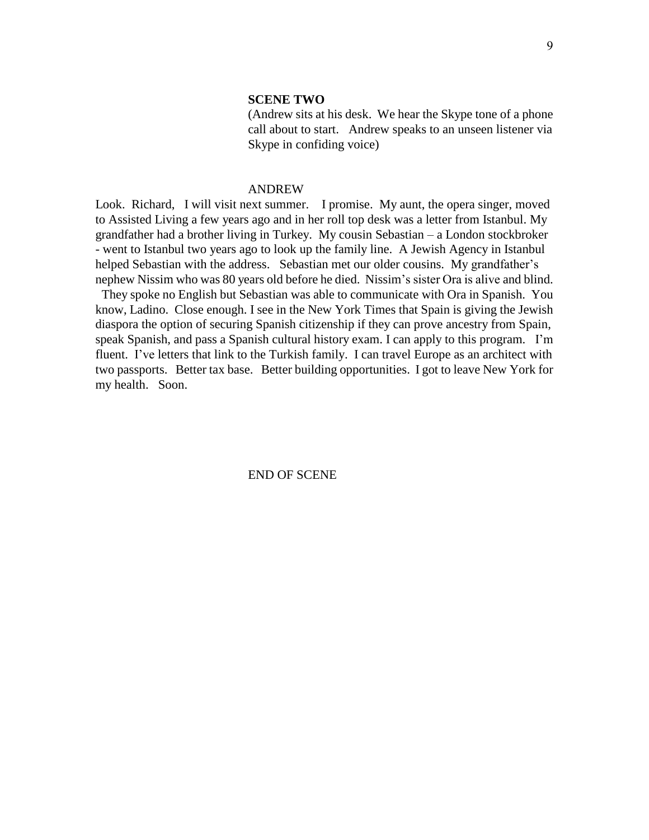### **SCENE TWO**

(Andrew sits at his desk. We hear the Skype tone of a phone call about to start. Andrew speaks to an unseen listener via Skype in confiding voice)

#### ANDREW

Look. Richard, I will visit next summer. I promise. My aunt, the opera singer, moved to Assisted Living a few years ago and in her roll top desk was a letter from Istanbul. My grandfather had a brother living in Turkey. My cousin Sebastian – a London stockbroker - went to Istanbul two years ago to look up the family line. A Jewish Agency in Istanbul helped Sebastian with the address. Sebastian met our older cousins. My grandfather's nephew Nissim who was 80 years old before he died. Nissim's sister Ora is alive and blind.

 They spoke no English but Sebastian was able to communicate with Ora in Spanish. You know, Ladino. Close enough. I see in the New York Times that Spain is giving the Jewish diaspora the option of securing Spanish citizenship if they can prove ancestry from Spain, speak Spanish, and pass a Spanish cultural history exam. I can apply to this program. I'm fluent. I've letters that link to the Turkish family. I can travel Europe as an architect with two passports. Better tax base. Better building opportunities. I got to leave New York for my health. Soon.

END OF SCENE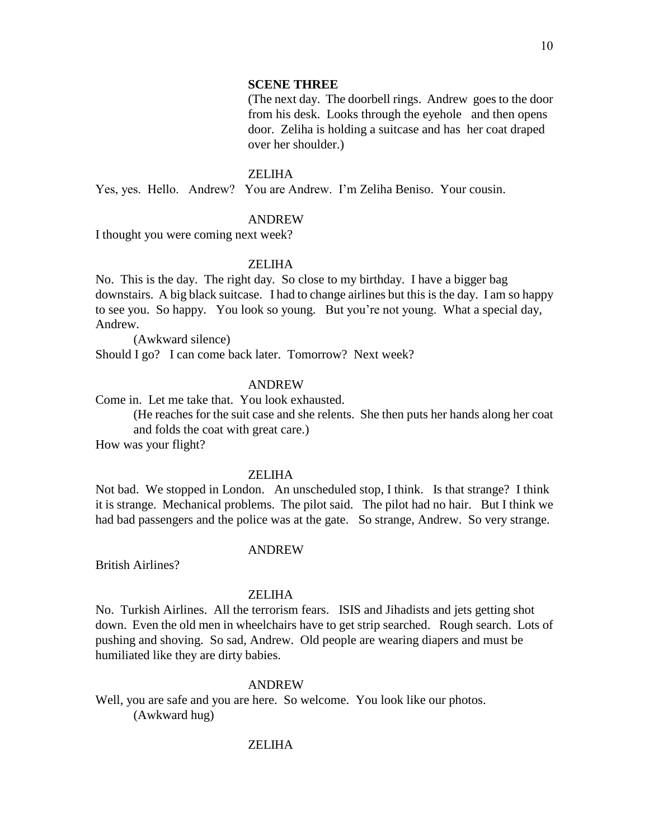#### **SCENE THREE**

(The next day. The doorbell rings. Andrew goes to the door from his desk. Looks through the eyehole and then opens door. Zeliha is holding a suitcase and has her coat draped over her shoulder.)

#### ZELIHA

Yes, yes. Hello. Andrew? You are Andrew. I'm Zeliha Beniso. Your cousin.

#### ANDREW

I thought you were coming next week?

### ZELIHA

No. This is the day. The right day. So close to my birthday. I have a bigger bag downstairs. A big black suitcase. I had to change airlines but this is the day. I am so happy to see you. So happy. You look so young. But you're not young. What a special day, Andrew.

(Awkward silence) Should I go? I can come back later. Tomorrow? Next week?

### ANDREW

Come in. Let me take that. You look exhausted.

(He reaches for the suit case and she relents. She then puts her hands along her coat and folds the coat with great care.)

How was your flight?

#### ZELIHA

Not bad. We stopped in London. An unscheduled stop, I think. Is that strange? I think it is strange. Mechanical problems. The pilot said. The pilot had no hair. But I think we had bad passengers and the police was at the gate. So strange, Andrew. So very strange.

#### ANDREW

British Airlines?

#### ZELIHA

No. Turkish Airlines. All the terrorism fears. ISIS and Jihadists and jets getting shot down. Even the old men in wheelchairs have to get strip searched. Rough search. Lots of pushing and shoving. So sad, Andrew. Old people are wearing diapers and must be humiliated like they are dirty babies.

#### ANDREW

Well, you are safe and you are here. So welcome. You look like our photos. (Awkward hug)

#### ZELIHA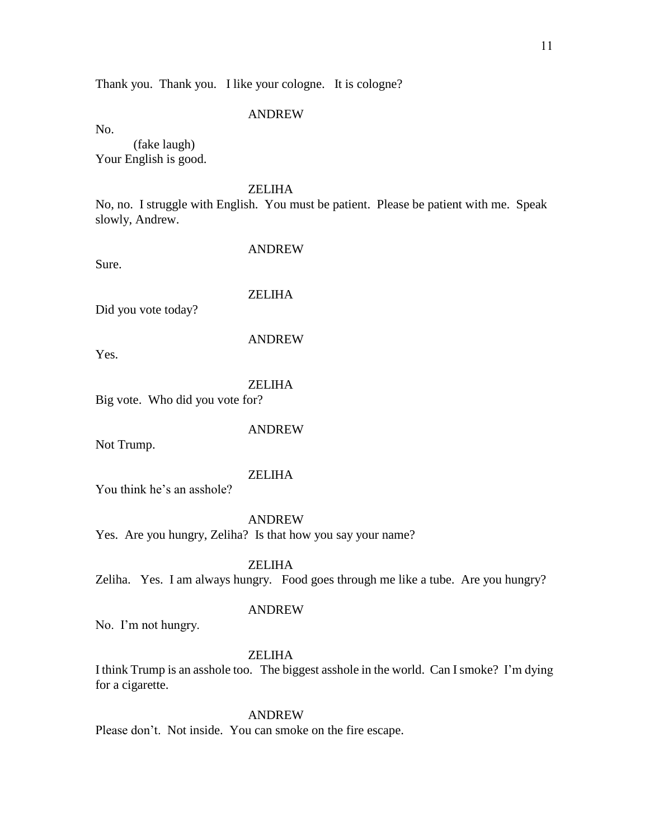Thank you. Thank you. I like your cologne. It is cologne?

#### ANDREW

No.

(fake laugh) Your English is good.

### ZELIHA

No, no. I struggle with English. You must be patient. Please be patient with me. Speak slowly, Andrew.

Sure.

ANDREW

ZELIHA

Did you vote today?

Yes.

#### ZELIHA

ANDREW

Big vote. Who did you vote for?

#### ANDREW

Not Trump.

### ZELIHA

You think he's an asshole?

### ANDREW

Yes. Are you hungry, Zeliha? Is that how you say your name?

**ZELIHA** 

Zeliha. Yes. I am always hungry. Food goes through me like a tube. Are you hungry?

#### ANDREW

No. I'm not hungry.

### **ZELIHA**

I think Trump is an asshole too. The biggest asshole in the world. Can I smoke? I'm dying for a cigarette.

#### ANDREW

Please don't. Not inside. You can smoke on the fire escape.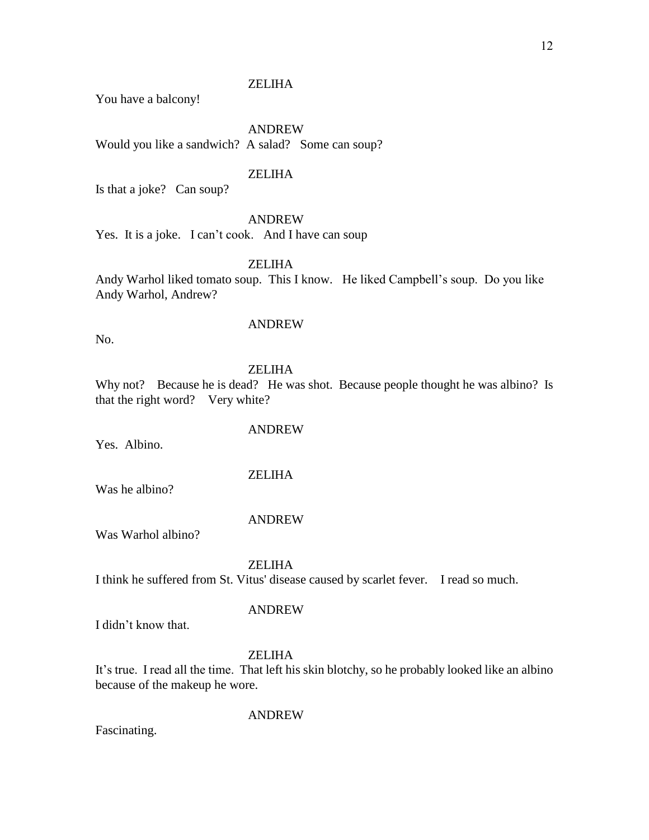You have a balcony!

ANDREW Would you like a sandwich? A salad? Some can soup?

### ZELIHA

Is that a joke? Can soup?

### ANDREW

Yes. It is a joke. I can't cook. And I have can soup

ZELIHA

Andy Warhol liked tomato soup. This I know. He liked Campbell's soup. Do you like Andy Warhol, Andrew?

No.

### ANDREW

ZELIHA

Why not? Because he is dead? He was shot. Because people thought he was albino? Is that the right word? Very white?

### ANDREW

Yes. Albino.

### ZELIHA

Was he albino?

### ANDREW

Was Warhol albino?

### **ZELIHA**

I think he suffered from St. Vitus' disease caused by scarlet fever. I read so much.

### ANDREW

I didn't know that.

### **ZELIHA**

It's true. I read all the time. That left his skin blotchy, so he probably looked like an albino because of the makeup he wore.

ANDREW

Fascinating.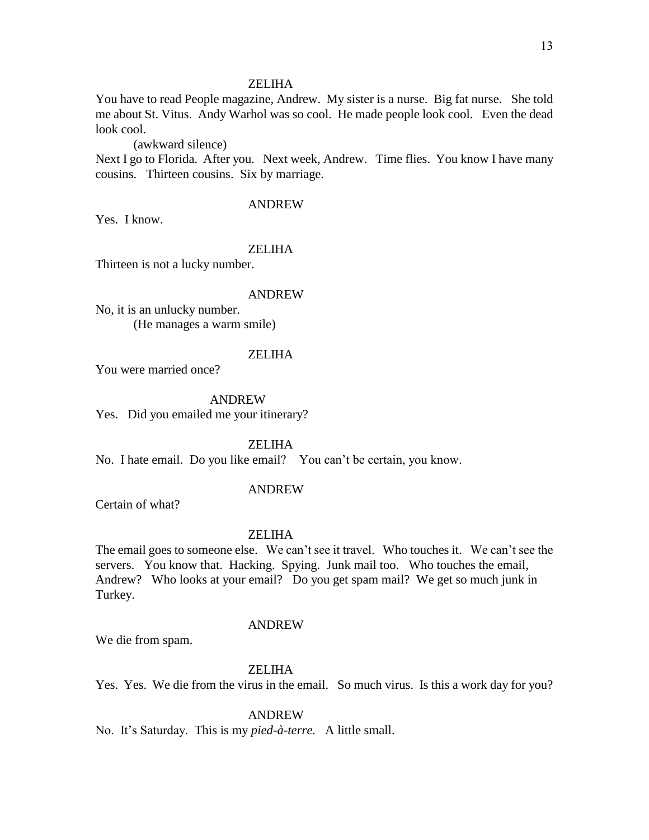You have to read People magazine, Andrew. My sister is a nurse. Big fat nurse. She told me about St. Vitus. Andy Warhol was so cool. He made people look cool. Even the dead look cool.

(awkward silence)

Next I go to Florida. After you. Next week, Andrew. Time flies. You know I have many cousins. Thirteen cousins. Six by marriage.

### ANDREW

Yes. I know.

#### ZELIHA

Thirteen is not a lucky number.

#### ANDREW

No, it is an unlucky number. (He manages a warm smile)

#### ZELIHA

You were married once?

ANDREW

Yes. Did you emailed me your itinerary?

ZELIHA

No. I hate email. Do you like email? You can't be certain, you know.

#### ANDREW

Certain of what?

#### ZELIHA

The email goes to someone else. We can't see it travel. Who touches it. We can't see the servers. You know that. Hacking. Spying. Junk mail too. Who touches the email, Andrew? Who looks at your email? Do you get spam mail? We get so much junk in Turkey.

#### ANDREW

We die from spam.

#### ZELIHA

Yes. Yes. We die from the virus in the email. So much virus. Is this a work day for you?

#### ANDREW

No. It's Saturday. This is my *pied-à-terre.* A little small.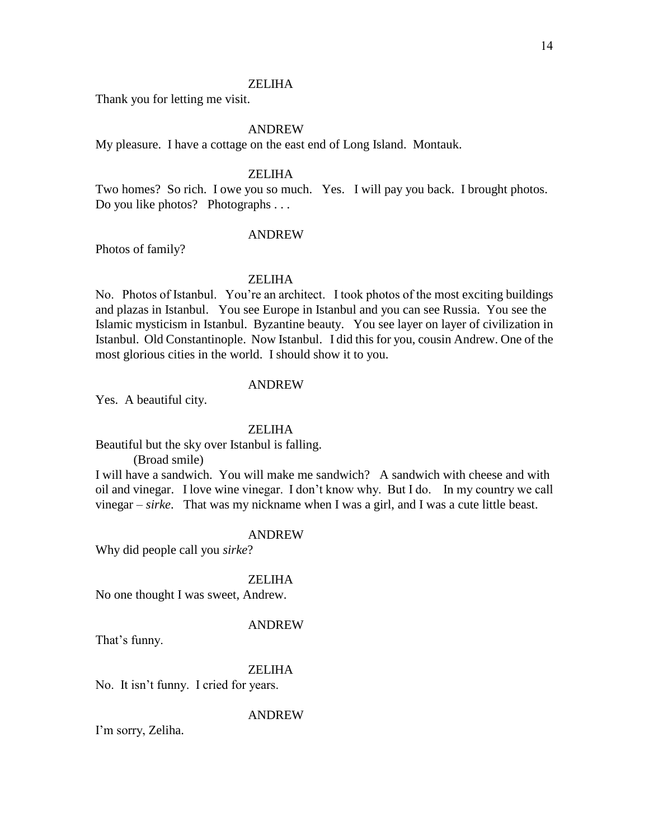Thank you for letting me visit.

### ANDREW

My pleasure. I have a cottage on the east end of Long Island. Montauk.

#### **ZELIHA**

Two homes? So rich. I owe you so much. Yes. I will pay you back. I brought photos. Do you like photos? Photographs . . .

#### ANDREW

Photos of family?

### ZELIHA

No. Photos of Istanbul. You're an architect. I took photos of the most exciting buildings and plazas in Istanbul. You see Europe in Istanbul and you can see Russia. You see the Islamic mysticism in Istanbul. Byzantine beauty. You see layer on layer of civilization in Istanbul. Old Constantinople. Now Istanbul. I did this for you, cousin Andrew. One of the most glorious cities in the world. I should show it to you.

#### ANDREW

Yes. A beautiful city.

#### ZELIHA

Beautiful but the sky over Istanbul is falling.

(Broad smile)

I will have a sandwich. You will make me sandwich? A sandwich with cheese and with oil and vinegar. I love wine vinegar. I don't know why. But I do. In my country we call vinegar – *sirke*. That was my nickname when I was a girl, and I was a cute little beast.

#### ANDREW

Why did people call you *sirke*?

#### ZELIHA

No one thought I was sweet, Andrew.

#### ANDREW

That's funny.

#### **ZELIHA**

No. It isn't funny. I cried for years.

#### ANDREW

I'm sorry, Zeliha.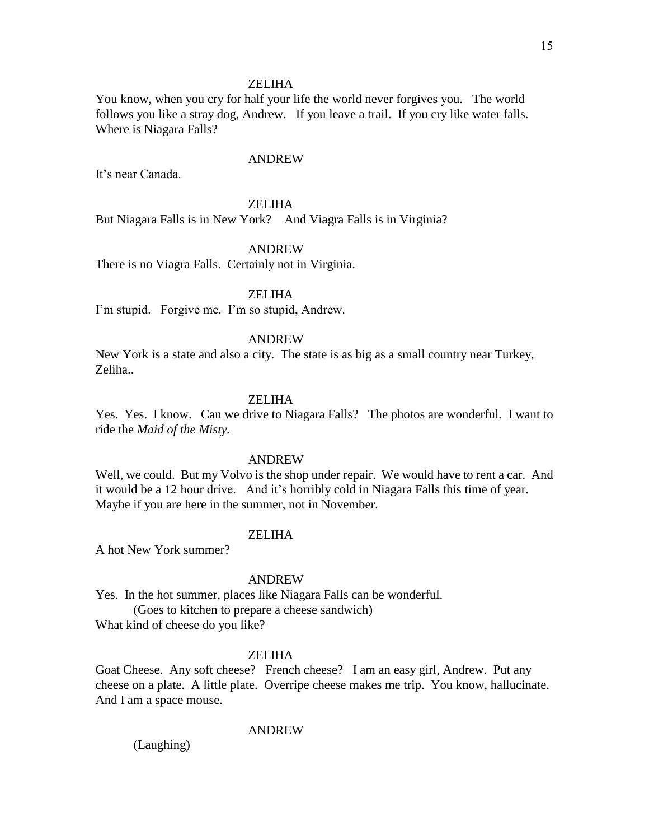You know, when you cry for half your life the world never forgives you. The world follows you like a stray dog, Andrew. If you leave a trail. If you cry like water falls. Where is Niagara Falls?

#### ANDREW

It's near Canada.

### ZELIHA

But Niagara Falls is in New York? And Viagra Falls is in Virginia?

#### ANDREW

There is no Viagra Falls. Certainly not in Virginia.

#### ZELIHA

I'm stupid. Forgive me. I'm so stupid, Andrew.

#### ANDREW

New York is a state and also a city. The state is as big as a small country near Turkey, Zeliha..

#### **ZELIHA**

Yes. Yes. I know. Can we drive to Niagara Falls? The photos are wonderful. I want to ride the *Maid of the Misty.*

#### ANDREW

Well, we could. But my Volvo is the shop under repair. We would have to rent a car. And it would be a 12 hour drive. And it's horribly cold in Niagara Falls this time of year. Maybe if you are here in the summer, not in November.

#### ZELIHA

A hot New York summer?

#### ANDREW

Yes. In the hot summer, places like Niagara Falls can be wonderful. (Goes to kitchen to prepare a cheese sandwich) What kind of cheese do you like?

#### **ZELIHA**

Goat Cheese. Any soft cheese? French cheese? I am an easy girl, Andrew. Put any cheese on a plate. A little plate. Overripe cheese makes me trip. You know, hallucinate. And I am a space mouse.

#### ANDREW

(Laughing)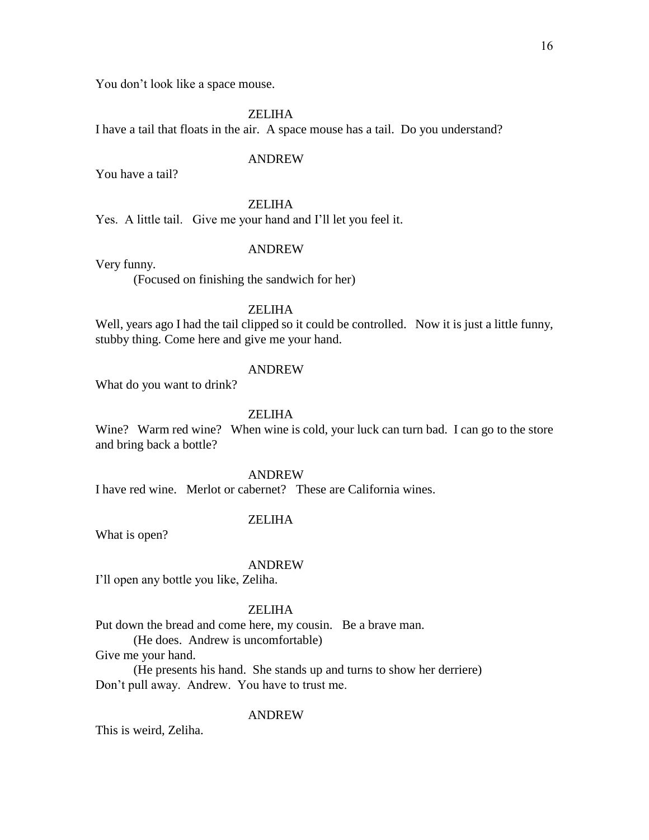You don't look like a space mouse.

ZELIHA

I have a tail that floats in the air. A space mouse has a tail. Do you understand?

#### ANDREW

You have a tail?

### ZELIHA

Yes. A little tail. Give me your hand and I'll let you feel it.

## Very funny.

### ANDREW

(Focused on finishing the sandwich for her)

### ZELIHA

Well, years ago I had the tail clipped so it could be controlled. Now it is just a little funny, stubby thing. Come here and give me your hand.

### ANDREW

What do you want to drink?

### ZELIHA

Wine? Warm red wine? When wine is cold, your luck can turn bad. I can go to the store and bring back a bottle?

### ANDREW

I have red wine. Merlot or cabernet? These are California wines.

### ZELIHA

What is open?

#### ANDREW

I'll open any bottle you like, Zeliha.

### ZELIHA

Put down the bread and come here, my cousin. Be a brave man.

(He does. Andrew is uncomfortable)

Give me your hand.

(He presents his hand. She stands up and turns to show her derriere) Don't pull away. Andrew. You have to trust me.

#### ANDREW

This is weird, Zeliha.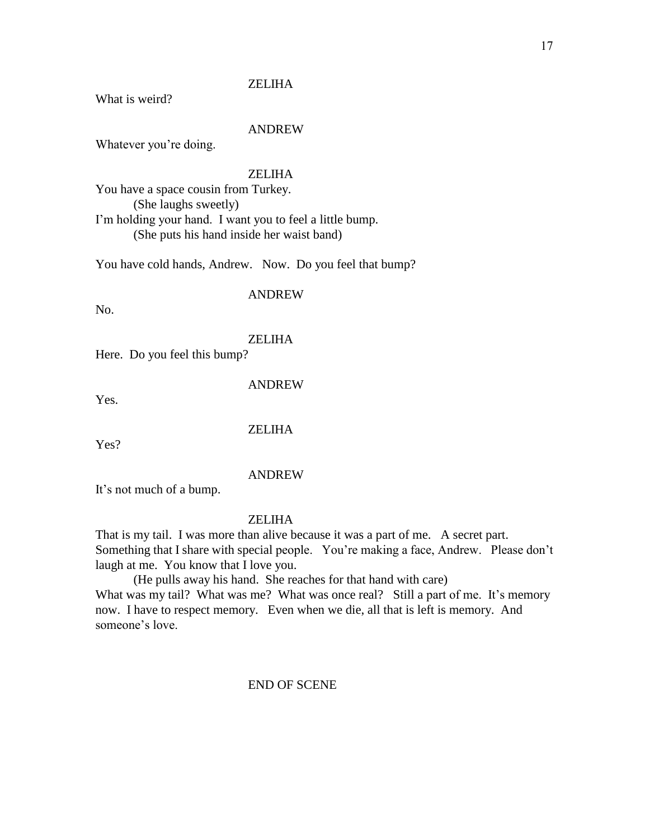What is weird?

#### ANDREW

Whatever you're doing.

### **ZELIHA**

You have a space cousin from Turkey. (She laughs sweetly) I'm holding your hand. I want you to feel a little bump. (She puts his hand inside her waist band)

You have cold hands, Andrew. Now. Do you feel that bump?

#### ANDREW

No.

### ZELIHA

Here. Do you feel this bump?

ANDREW

Yes.

#### **ZELIHA**

Yes?

### ANDREW

It's not much of a bump.

#### ZELIHA

That is my tail. I was more than alive because it was a part of me. A secret part. Something that I share with special people. You're making a face, Andrew. Please don't laugh at me. You know that I love you.

(He pulls away his hand. She reaches for that hand with care) What was my tail? What was me? What was once real? Still a part of me. It's memory now. I have to respect memory. Even when we die, all that is left is memory. And someone's love.

### END OF SCENE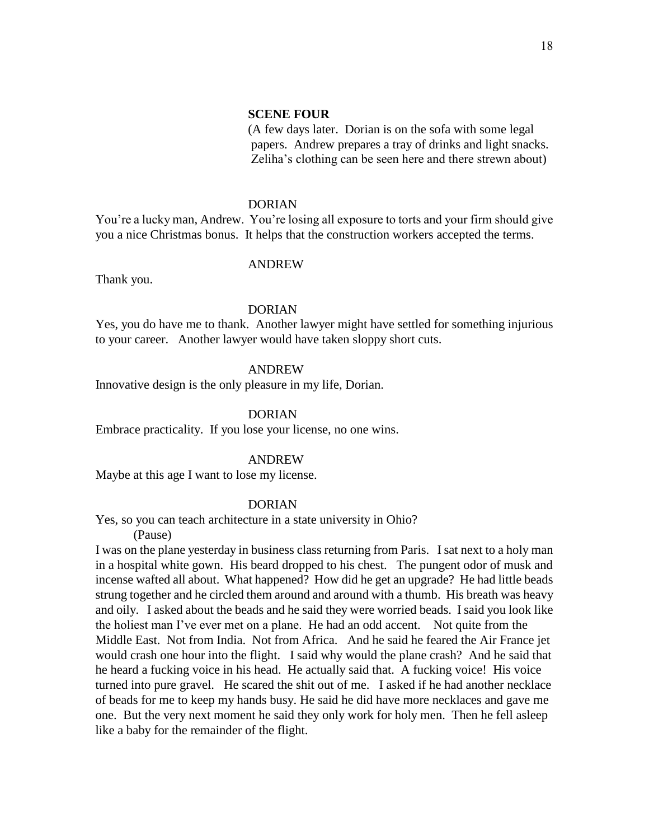#### **SCENE FOUR**

(A few days later. Dorian is on the sofa with some legal papers. Andrew prepares a tray of drinks and light snacks. Zeliha's clothing can be seen here and there strewn about)

#### DORIAN

You're a lucky man, Andrew. You're losing all exposure to torts and your firm should give you a nice Christmas bonus. It helps that the construction workers accepted the terms.

#### ANDREW

Thank you.

#### DORIAN

Yes, you do have me to thank. Another lawyer might have settled for something injurious to your career. Another lawyer would have taken sloppy short cuts.

#### ANDREW

Innovative design is the only pleasure in my life, Dorian.

#### DORIAN

Embrace practicality. If you lose your license, no one wins.

#### ANDREW

Maybe at this age I want to lose my license.

#### DORIAN

Yes, so you can teach architecture in a state university in Ohio?

(Pause)

I was on the plane yesterday in business class returning from Paris. I sat next to a holy man in a hospital white gown. His beard dropped to his chest. The pungent odor of musk and incense wafted all about. What happened? How did he get an upgrade? He had little beads strung together and he circled them around and around with a thumb. His breath was heavy and oily. I asked about the beads and he said they were worried beads. I said you look like the holiest man I've ever met on a plane. He had an odd accent. Not quite from the Middle East. Not from India. Not from Africa. And he said he feared the Air France jet would crash one hour into the flight. I said why would the plane crash? And he said that he heard a fucking voice in his head. He actually said that. A fucking voice! His voice turned into pure gravel. He scared the shit out of me. I asked if he had another necklace of beads for me to keep my hands busy. He said he did have more necklaces and gave me one. But the very next moment he said they only work for holy men. Then he fell asleep like a baby for the remainder of the flight.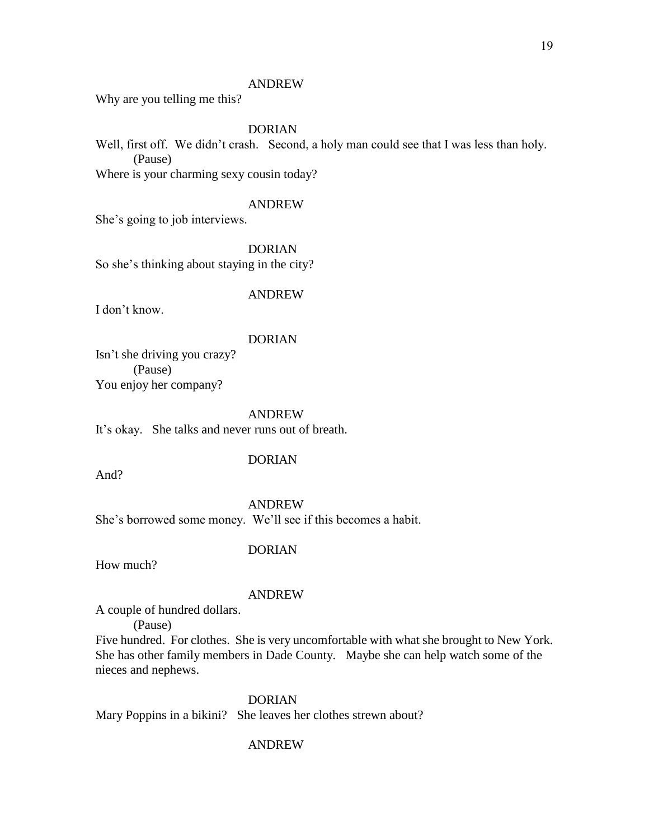Why are you telling me this?

#### DORIAN

Well, first off. We didn't crash. Second, a holy man could see that I was less than holy. (Pause)

Where is your charming sexy cousin today?

### ANDREW

She's going to job interviews.

DORIAN

So she's thinking about staying in the city?

#### ANDREW

I don't know.

#### DORIAN

Isn't she driving you crazy? (Pause) You enjoy her company?

#### ANDREW

It's okay. She talks and never runs out of breath.

And?

### DORIAN

ANDREW

She's borrowed some money. We'll see if this becomes a habit.

#### DORIAN

How much?

#### ANDREW

A couple of hundred dollars.

(Pause)

Five hundred. For clothes. She is very uncomfortable with what she brought to New York. She has other family members in Dade County. Maybe she can help watch some of the nieces and nephews.

### DORIAN

Mary Poppins in a bikini? She leaves her clothes strewn about?

#### ANDREW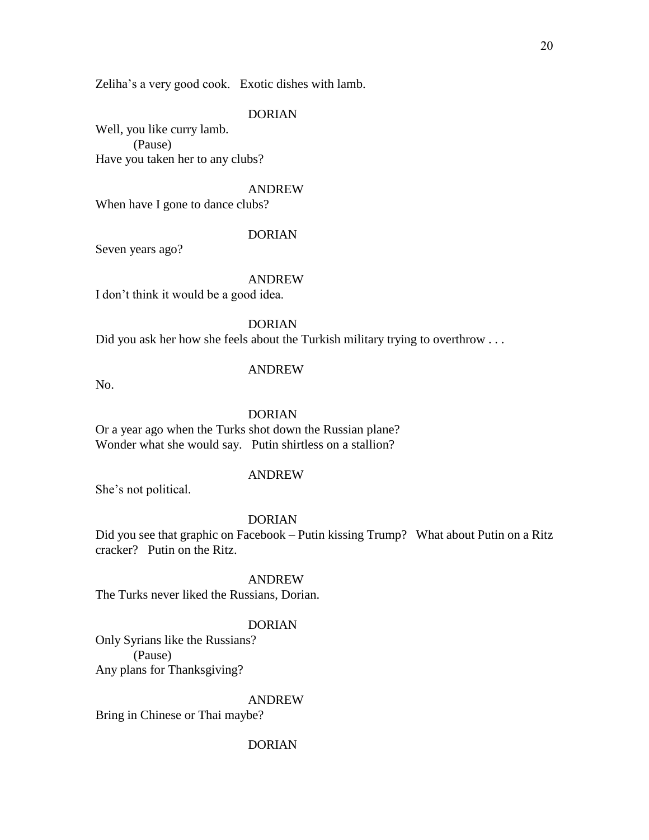Zeliha's a very good cook. Exotic dishes with lamb.

#### DORIAN

Well, you like curry lamb. (Pause) Have you taken her to any clubs?

#### ANDREW

When have I gone to dance clubs?

### DORIAN

Seven years ago?

### ANDREW

I don't think it would be a good idea.

DORIAN

Did you ask her how she feels about the Turkish military trying to overthrow ...

#### ANDREW

No.

#### DORIAN

Or a year ago when the Turks shot down the Russian plane? Wonder what she would say. Putin shirtless on a stallion?

### ANDREW

She's not political.

#### DORIAN

Did you see that graphic on Facebook – Putin kissing Trump? What about Putin on a Ritz cracker? Putin on the Ritz.

#### ANDREW

The Turks never liked the Russians, Dorian.

#### DORIAN

Only Syrians like the Russians? (Pause) Any plans for Thanksgiving?

#### ANDREW

Bring in Chinese or Thai maybe?

#### DORIAN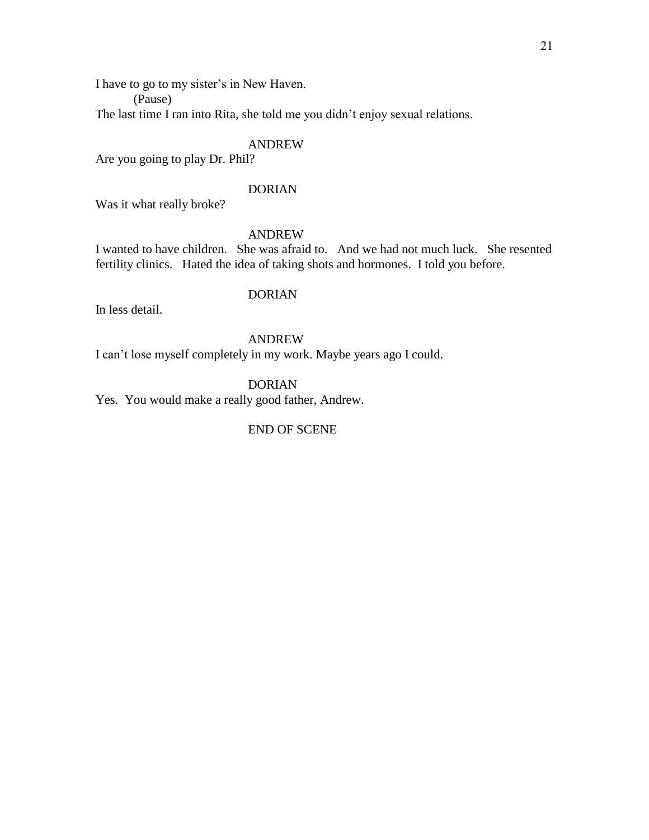I have to go to my sister's in New Haven.

(Pause)

The last time I ran into Rita, she told me you didn't enjoy sexual relations.

### ANDREW

Are you going to play Dr. Phil?

### DORIAN

Was it what really broke?

### ANDREW

I wanted to have children. She was afraid to. And we had not much luck. She resented fertility clinics. Hated the idea of taking shots and hormones. I told you before.

### DORIAN

In less detail.

## ANDREW

I can't lose myself completely in my work. Maybe years ago I could.

DORIAN

Yes. You would make a really good father, Andrew.

### END OF SCENE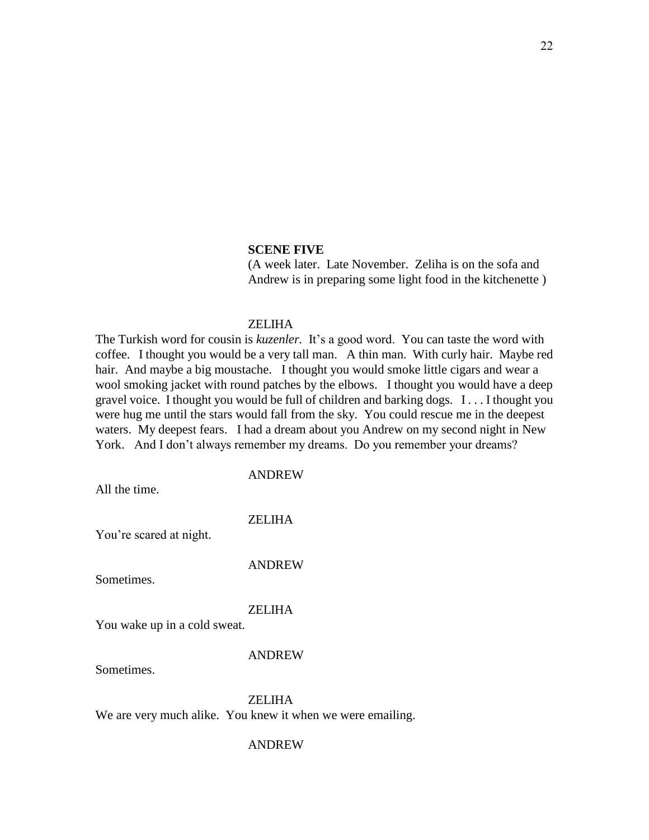#### **SCENE FIVE**

(A week later. Late November. Zeliha is on the sofa and Andrew is in preparing some light food in the kitchenette )

### ZELIHA

The Turkish word for cousin is *kuzenler.* It's a good word. You can taste the word with coffee. I thought you would be a very tall man. A thin man. With curly hair. Maybe red hair. And maybe a big moustache. I thought you would smoke little cigars and wear a wool smoking jacket with round patches by the elbows. I thought you would have a deep gravel voice. I thought you would be full of children and barking dogs. I . . . I thought you were hug me until the stars would fall from the sky. You could rescue me in the deepest waters. My deepest fears. I had a dream about you Andrew on my second night in New York. And I don't always remember my dreams. Do you remember your dreams?

### ANDREW

All the time.

### ZELIHA

You're scared at night.

#### ANDREW

Sometimes.

#### ZELIHA

You wake up in a cold sweat.

#### ANDREW

Sometimes.

**ZELIHA** 

We are very much alike. You knew it when we were emailing.

#### ANDREW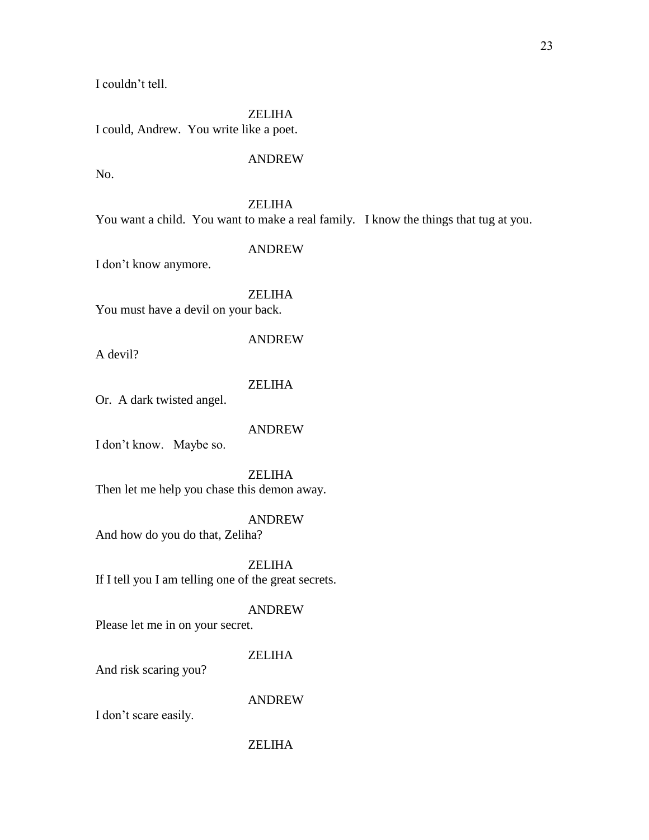I couldn't tell.

ZELIHA I could, Andrew. You write like a poet.

### ANDREW

No.

### ZELIHA

You want a child. You want to make a real family. I know the things that tug at you.

#### ANDREW

I don't know anymore.

### ZELIHA

You must have a devil on your back.

A devil?

### ZELIHA

ANDREW

Or. A dark twisted angel.

### ANDREW

I don't know. Maybe so.

ZELIHA Then let me help you chase this demon away.

### ANDREW

And how do you do that, Zeliha?

ZELIHA If I tell you I am telling one of the great secrets.

### ANDREW

Please let me in on your secret.

### ZELIHA

And risk scaring you?

### ANDREW

I don't scare easily.

### ZELIHA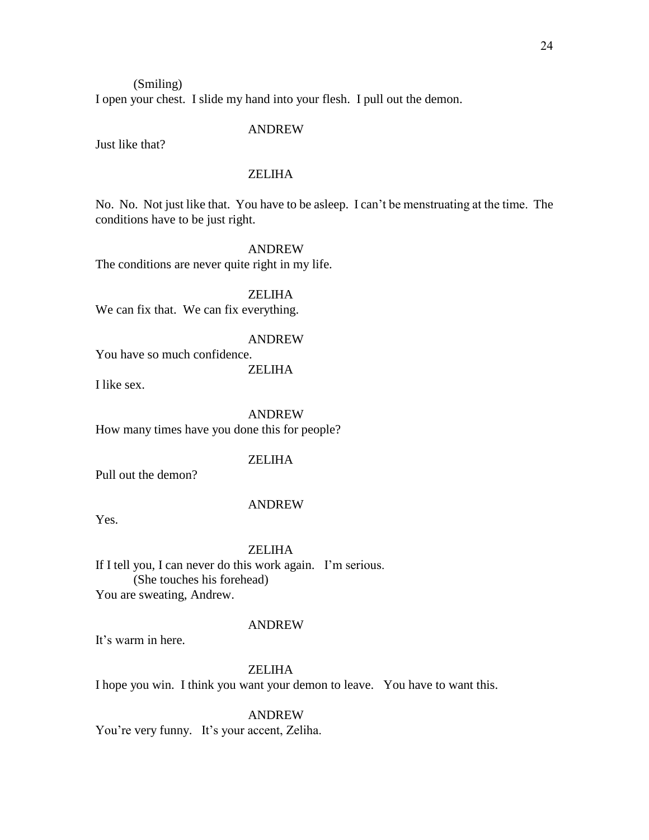### (Smiling) I open your chest. I slide my hand into your flesh. I pull out the demon.

#### ANDREW

Just like that?

### **ZELIHA**

No. No. Not just like that. You have to be asleep. I can't be menstruating at the time. The conditions have to be just right.

ANDREW

The conditions are never quite right in my life.

ZELIHA We can fix that. We can fix everything.

### ANDREW

You have so much confidence.

ZELIHA

I like sex.

ANDREW How many times have you done this for people?

#### ZELIHA

Pull out the demon?

#### ANDREW

Yes.

#### ZELIHA

If I tell you, I can never do this work again. I'm serious. (She touches his forehead) You are sweating, Andrew.

#### ANDREW

It's warm in here.

### **ZELIHA**

I hope you win. I think you want your demon to leave. You have to want this.

ANDREW

You're very funny. It's your accent, Zeliha.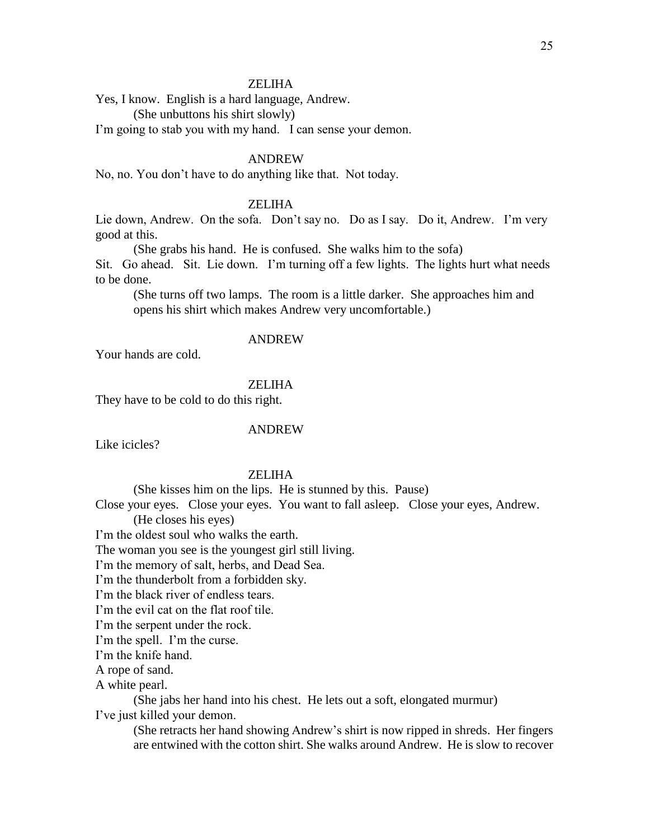Yes, I know. English is a hard language, Andrew.

(She unbuttons his shirt slowly)

I'm going to stab you with my hand. I can sense your demon.

### ANDREW

No, no. You don't have to do anything like that. Not today.

### ZELIHA

Lie down, Andrew. On the sofa. Don't say no. Do as I say. Do it, Andrew. I'm very good at this.

(She grabs his hand. He is confused. She walks him to the sofa) Sit. Go ahead. Sit. Lie down. I'm turning off a few lights. The lights hurt what needs to be done.

(She turns off two lamps. The room is a little darker. She approaches him and opens his shirt which makes Andrew very uncomfortable.)

### ANDREW

Your hands are cold.

### ZELIHA

They have to be cold to do this right.

#### ANDREW

Like icicles?

### ZELIHA

(She kisses him on the lips. He is stunned by this. Pause)

Close your eyes. Close your eyes. You want to fall asleep. Close your eyes, Andrew. (He closes his eyes)

I'm the oldest soul who walks the earth.

The woman you see is the youngest girl still living.

I'm the memory of salt, herbs, and Dead Sea.

I'm the thunderbolt from a forbidden sky.

I'm the black river of endless tears.

I'm the evil cat on the flat roof tile.

I'm the serpent under the rock.

I'm the spell. I'm the curse.

I'm the knife hand.

A rope of sand.

A white pearl.

(She jabs her hand into his chest. He lets out a soft, elongated murmur) I've just killed your demon.

(She retracts her hand showing Andrew's shirt is now ripped in shreds. Her fingers are entwined with the cotton shirt. She walks around Andrew. He is slow to recover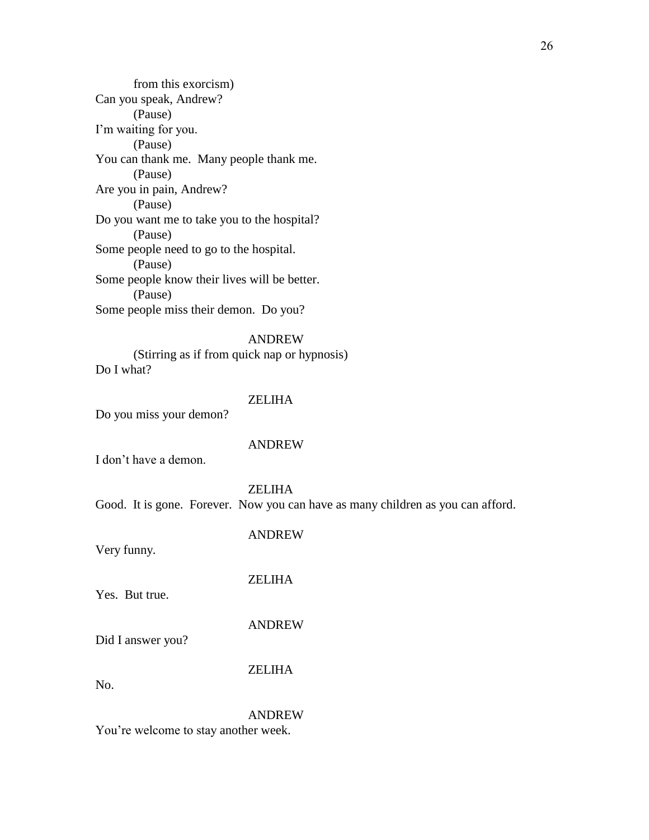from this exorcism) Can you speak, Andrew? (Pause) I'm waiting for you. (Pause) You can thank me. Many people thank me. (Pause) Are you in pain, Andrew? (Pause) Do you want me to take you to the hospital? (Pause) Some people need to go to the hospital. (Pause) Some people know their lives will be better. (Pause) Some people miss their demon. Do you?

### ANDREW

(Stirring as if from quick nap or hypnosis) Do I what?

### ZELIHA

Do you miss your demon?

#### ANDREW

I don't have a demon.

#### ZELIHA

Good. It is gone. Forever. Now you can have as many children as you can afford.

#### ANDREW

Very funny.

### ZELIHA

Yes. But true.

### ANDREW

Did I answer you?

#### ZELIHA

No.

#### ANDREW

You're welcome to stay another week.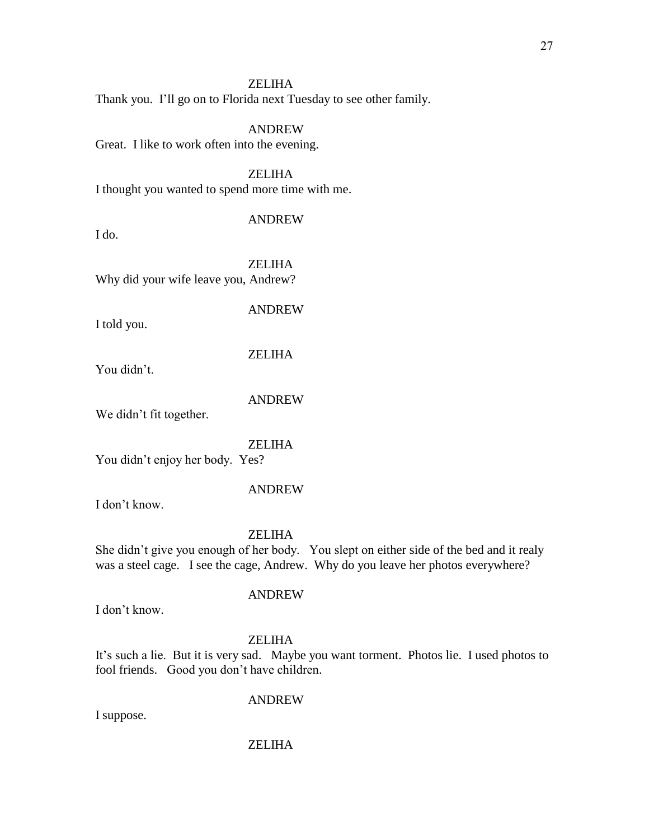Thank you. I'll go on to Florida next Tuesday to see other family.

### ANDREW

Great. I like to work often into the evening.

ZELIHA I thought you wanted to spend more time with me.

#### ANDREW

I do.

ZELIHA Why did your wife leave you, Andrew?

#### ANDREW

I told you.

### ZELIHA

You didn't.

#### ANDREW

We didn't fit together.

ZELIHA

You didn't enjoy her body. Yes?

#### ANDREW

I don't know.

#### ZELIHA

She didn't give you enough of her body. You slept on either side of the bed and it realy was a steel cage. I see the cage, Andrew. Why do you leave her photos everywhere?

I don't know.

# ZELIHA

ANDREW

It's such a lie. But it is very sad. Maybe you want torment. Photos lie. I used photos to fool friends. Good you don't have children.

#### ANDREW

I suppose.

### ZELIHA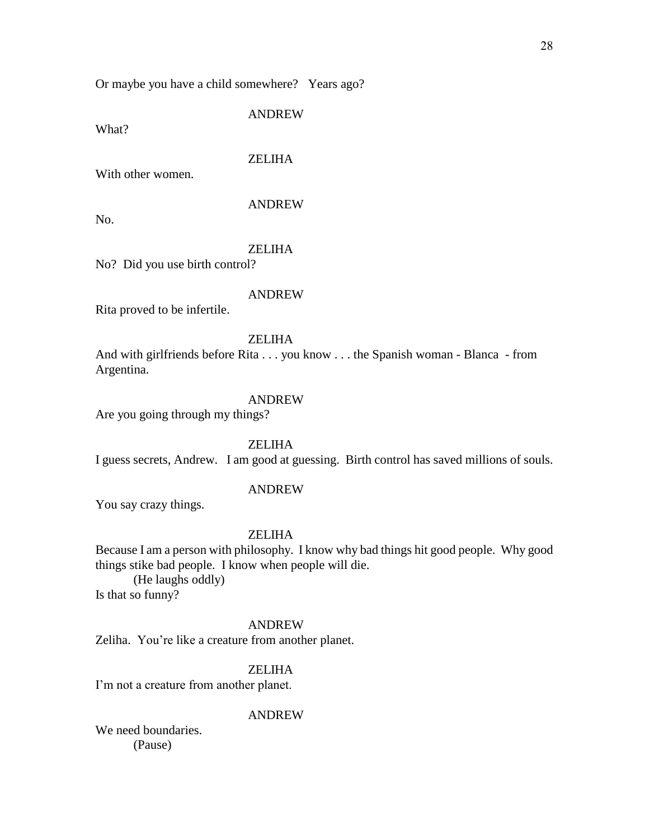Or maybe you have a child somewhere? Years ago?

ANDREW

What?

ZELIHA

With other women.

### ANDREW

No.

#### ZELIHA

No? Did you use birth control?

#### ANDREW

Rita proved to be infertile.

### ZELIHA

And with girlfriends before Rita . . . you know . . . the Spanish woman - Blanca - from Argentina.

### ANDREW

Are you going through my things?

ZELIHA

I guess secrets, Andrew. I am good at guessing. Birth control has saved millions of souls.

#### ANDREW

You say crazy things.

#### ZELIHA

Because I am a person with philosophy. I know why bad things hit good people. Why good things stike bad people. I know when people will die.

(He laughs oddly) Is that so funny?

#### ANDREW

Zeliha. You're like a creature from another planet.

### **ZELIHA**

I'm not a creature from another planet.

#### ANDREW

We need boundaries. (Pause)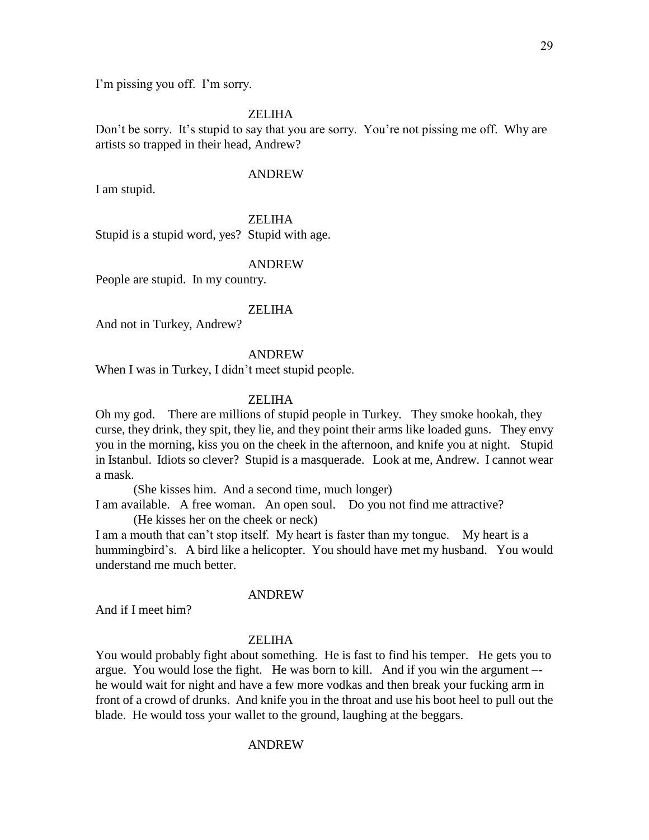I'm pissing you off. I'm sorry.

#### ZELIHA

Don't be sorry. It's stupid to say that you are sorry. You're not pissing me off. Why are artists so trapped in their head, Andrew?

#### ANDREW

I am stupid.

ZELIHA

Stupid is a stupid word, yes? Stupid with age.

#### ANDREW

People are stupid. In my country.

#### **ZELIHA**

And not in Turkey, Andrew?

#### ANDREW

When I was in Turkey, I didn't meet stupid people.

#### ZELIHA

Oh my god. There are millions of stupid people in Turkey. They smoke hookah, they curse, they drink, they spit, they lie, and they point their arms like loaded guns. They envy you in the morning, kiss you on the cheek in the afternoon, and knife you at night. Stupid in Istanbul. Idiots so clever? Stupid is a masquerade. Look at me, Andrew. I cannot wear a mask.

(She kisses him. And a second time, much longer)

I am available. A free woman. An open soul. Do you not find me attractive? (He kisses her on the cheek or neck)

I am a mouth that can't stop itself. My heart is faster than my tongue. My heart is a hummingbird's. A bird like a helicopter. You should have met my husband. You would understand me much better.

#### ANDREW

And if I meet him?

#### **ZELIHA**

You would probably fight about something. He is fast to find his temper. He gets you to argue. You would lose the fight. He was born to kill. And if you win the argument – he would wait for night and have a few more vodkas and then break your fucking arm in front of a crowd of drunks. And knife you in the throat and use his boot heel to pull out the blade. He would toss your wallet to the ground, laughing at the beggars.

#### ANDREW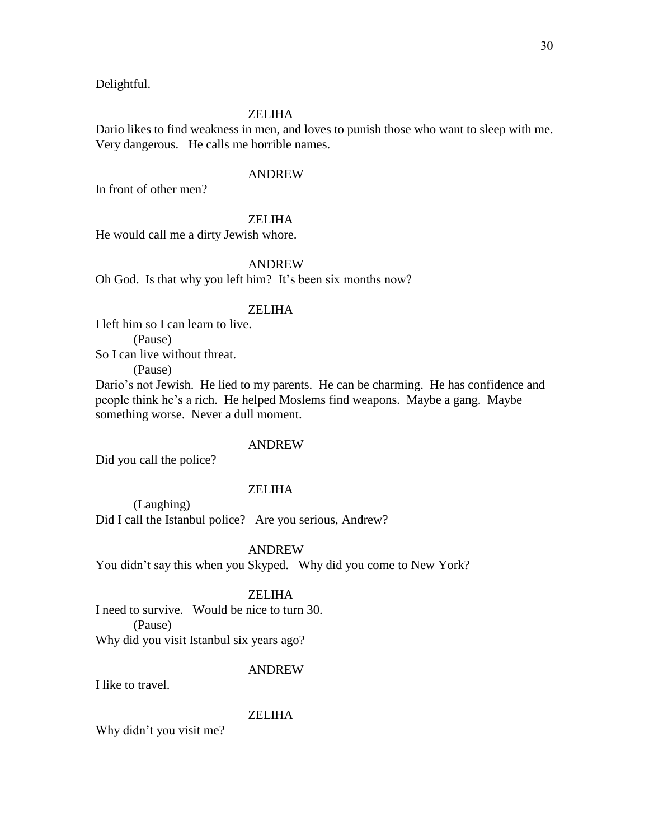Delightful.

#### ZELIHA

Dario likes to find weakness in men, and loves to punish those who want to sleep with me. Very dangerous. He calls me horrible names.

#### ANDREW

In front of other men?

### ZELIHA

He would call me a dirty Jewish whore.

### ANDREW

Oh God. Is that why you left him? It's been six months now?

### ZELIHA

I left him so I can learn to live. (Pause) So I can live without threat.

(Pause)

Dario's not Jewish. He lied to my parents. He can be charming. He has confidence and people think he's a rich. He helped Moslems find weapons. Maybe a gang. Maybe something worse. Never a dull moment.

#### ANDREW

Did you call the police?

### ZELIHA

(Laughing) Did I call the Istanbul police? Are you serious, Andrew?

ANDREW

You didn't say this when you Skyped. Why did you come to New York?

### ZELIHA

I need to survive. Would be nice to turn 30. (Pause) Why did you visit Istanbul six years ago?

#### ANDREW

I like to travel.

### ZELIHA

Why didn't you visit me?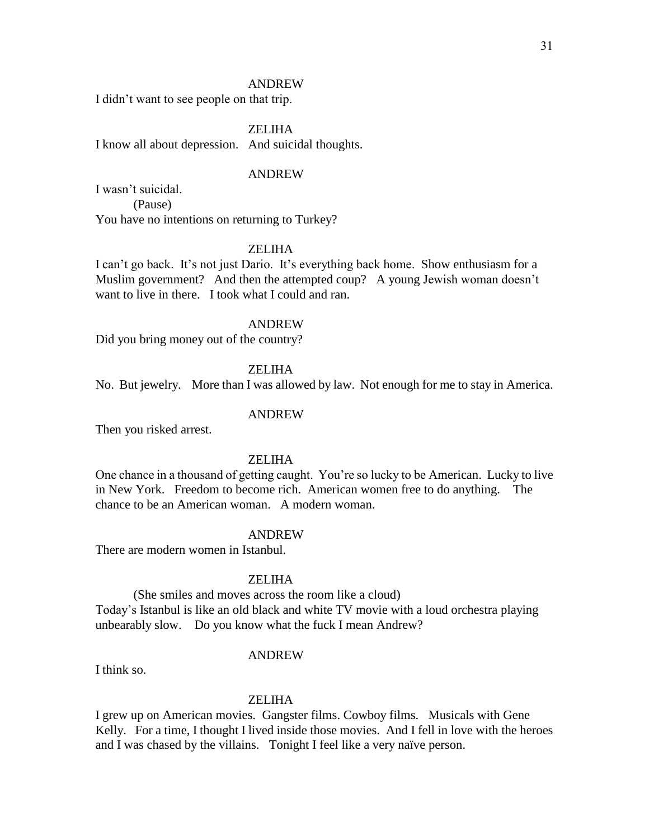I didn't want to see people on that trip.

ZELIHA

I know all about depression. And suicidal thoughts.

#### ANDREW

I wasn't suicidal. (Pause) You have no intentions on returning to Turkey?

#### ZELIHA

I can't go back. It's not just Dario. It's everything back home. Show enthusiasm for a Muslim government? And then the attempted coup? A young Jewish woman doesn't want to live in there. I took what I could and ran.

#### ANDREW

Did you bring money out of the country?

### ZELIHA

No. But jewelry. More than I was allowed by law. Not enough for me to stay in America.

#### ANDREW

Then you risked arrest.

### ZELIHA

One chance in a thousand of getting caught. You're so lucky to be American. Lucky to live in New York. Freedom to become rich. American women free to do anything. The chance to be an American woman. A modern woman.

#### ANDREW

There are modern women in Istanbul.

#### ZELIHA

(She smiles and moves across the room like a cloud) Today's Istanbul is like an old black and white TV movie with a loud orchestra playing unbearably slow. Do you know what the fuck I mean Andrew?

#### ANDREW

I think so.

### ZELIHA

I grew up on American movies. Gangster films. Cowboy films. Musicals with Gene Kelly. For a time, I thought I lived inside those movies. And I fell in love with the heroes and I was chased by the villains. Tonight I feel like a very naïve person.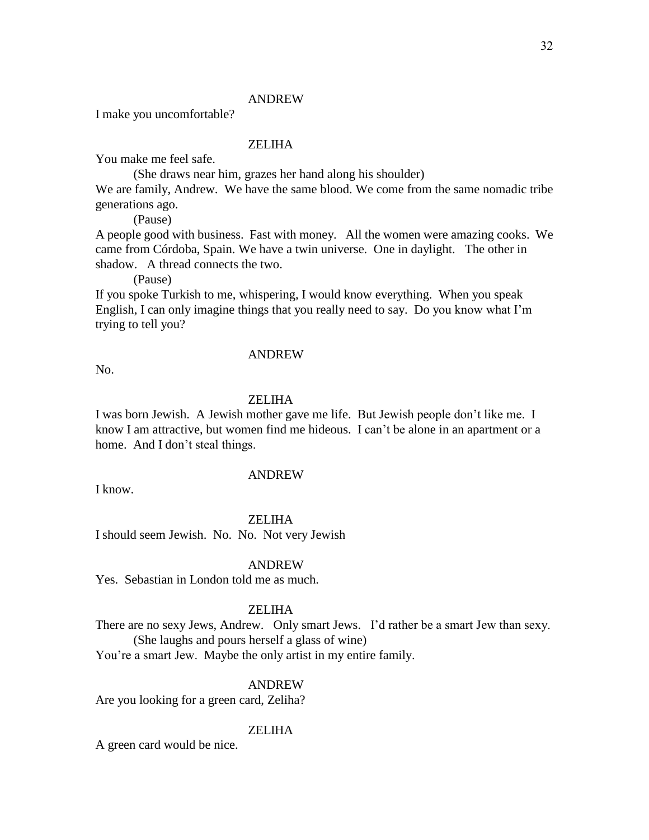I make you uncomfortable?

#### ZELIHA

You make me feel safe.

(She draws near him, grazes her hand along his shoulder)

We are family, Andrew. We have the same blood. We come from the same nomadic tribe generations ago.

(Pause)

A people good with business. Fast with money. All the women were amazing cooks. We came from Córdoba, Spain. We have a twin universe. One in daylight. The other in shadow. A thread connects the two.

(Pause)

If you spoke Turkish to me, whispering, I would know everything. When you speak English, I can only imagine things that you really need to say. Do you know what I'm trying to tell you?

#### ANDREW

No.

#### **ZELIHA**

I was born Jewish. A Jewish mother gave me life. But Jewish people don't like me. I know I am attractive, but women find me hideous. I can't be alone in an apartment or a home. And I don't steal things.

I know.

### ANDREW

ZELIHA

I should seem Jewish. No. No. Not very Jewish

#### ANDREW

Yes. Sebastian in London told me as much.

#### ZELIHA

There are no sexy Jews, Andrew. Only smart Jews. I'd rather be a smart Jew than sexy. (She laughs and pours herself a glass of wine)

You're a smart Jew. Maybe the only artist in my entire family.

### ANDREW

Are you looking for a green card, Zeliha?

### ZELIHA

A green card would be nice.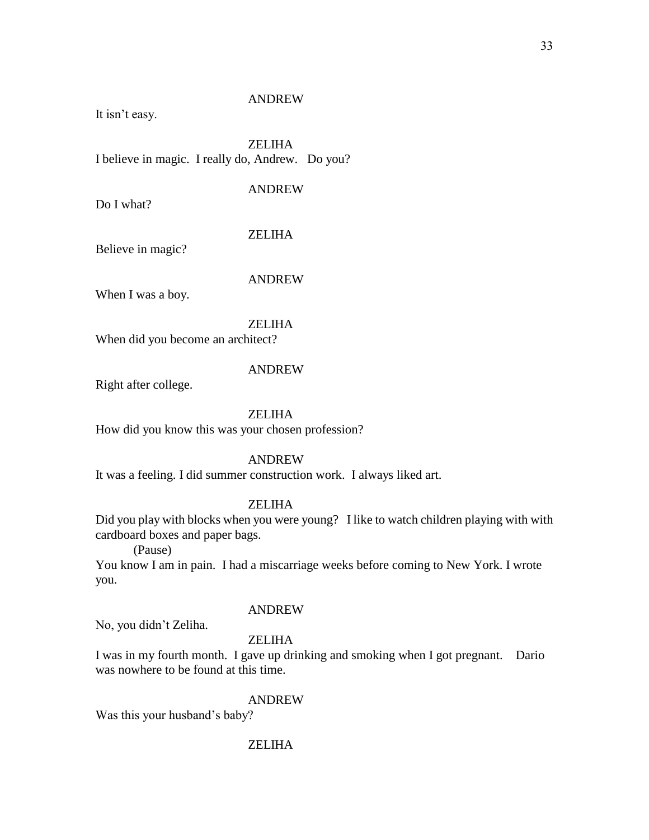It isn't easy.

ZELIHA I believe in magic. I really do, Andrew. Do you?

### ANDREW

Do I what?

### ZELIHA

Believe in magic?

### ANDREW

When I was a boy.

### ZELIHA

When did you become an architect?

### ANDREW

Right after college.

### ZELIHA

How did you know this was your chosen profession?

### ANDREW

It was a feeling. I did summer construction work. I always liked art.

### ZELIHA

Did you play with blocks when you were young? I like to watch children playing with with cardboard boxes and paper bags.

(Pause)

You know I am in pain. I had a miscarriage weeks before coming to New York. I wrote you.

### ANDREW

No, you didn't Zeliha.

### ZELIHA

I was in my fourth month. I gave up drinking and smoking when I got pregnant. Dario was nowhere to be found at this time.

#### ANDREW

Was this your husband's baby?

### ZELIHA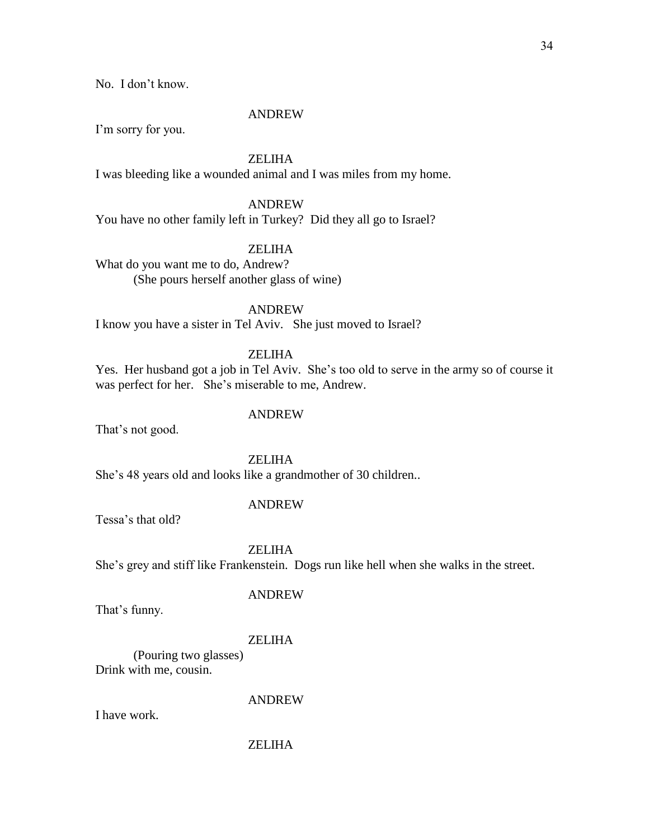No. I don't know.

#### ANDREW

I'm sorry for you.

### ZELIHA

I was bleeding like a wounded animal and I was miles from my home.

### ANDREW

You have no other family left in Turkey? Did they all go to Israel?

### ZELIHA

What do you want me to do, Andrew? (She pours herself another glass of wine)

### ANDREW

I know you have a sister in Tel Aviv. She just moved to Israel?

### ZELIHA

Yes. Her husband got a job in Tel Aviv. She's too old to serve in the army so of course it was perfect for her. She's miserable to me, Andrew.

#### ANDREW

That's not good.

#### ZELIHA

She's 48 years old and looks like a grandmother of 30 children..

### ANDREW

Tessa's that old?

### ZELIHA

She's grey and stiff like Frankenstein. Dogs run like hell when she walks in the street.

#### ANDREW

That's funny.

### ZELIHA

(Pouring two glasses) Drink with me, cousin.

### ANDREW

I have work.

### ZELIHA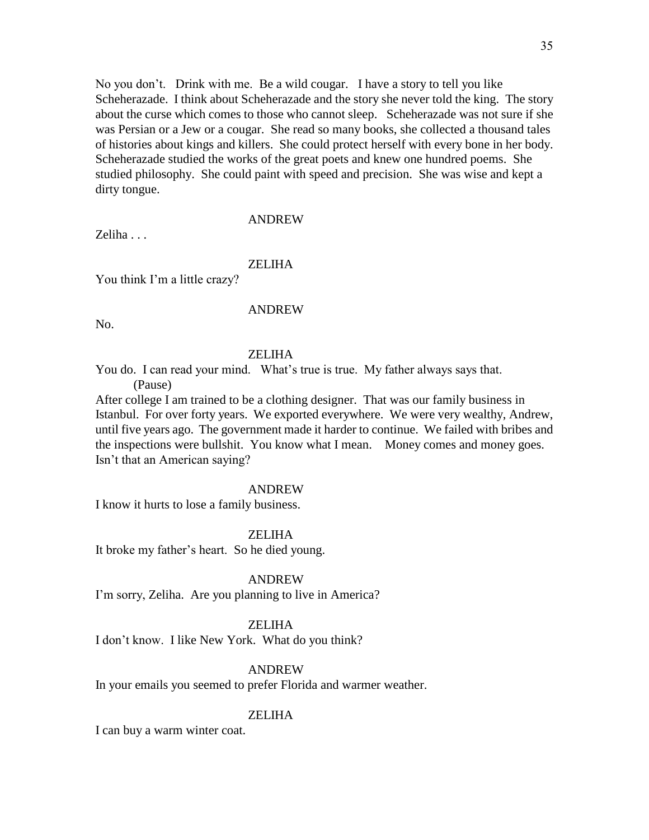No you don't. Drink with me. Be a wild cougar. I have a story to tell you like Scheherazade. I think about Scheherazade and the story she never told the king. The story about the curse which comes to those who cannot sleep. Scheherazade was not sure if she was Persian or a Jew or a cougar. She read so many books, she collected a thousand tales of histories about kings and killers. She could protect herself with every bone in her body. Scheherazade studied the works of the great poets and knew one hundred poems. She studied philosophy. She could paint with speed and precision. She was wise and kept a dirty tongue.

#### ANDREW

Zeliha . . .

#### **ZELIHA**

You think I'm a little crazy?

#### ANDREW

No.

#### ZELIHA

You do. I can read your mind. What's true is true. My father always says that. (Pause)

After college I am trained to be a clothing designer. That was our family business in Istanbul. For over forty years. We exported everywhere. We were very wealthy, Andrew, until five years ago. The government made it harder to continue. We failed with bribes and the inspections were bullshit. You know what I mean. Money comes and money goes. Isn't that an American saying?

#### ANDREW

I know it hurts to lose a family business.

ZELIHA

It broke my father's heart. So he died young.

#### ANDREW

I'm sorry, Zeliha. Are you planning to live in America?

#### ZELIHA

I don't know. I like New York. What do you think?

#### ANDREW

In your emails you seemed to prefer Florida and warmer weather.

#### ZELIHA

I can buy a warm winter coat.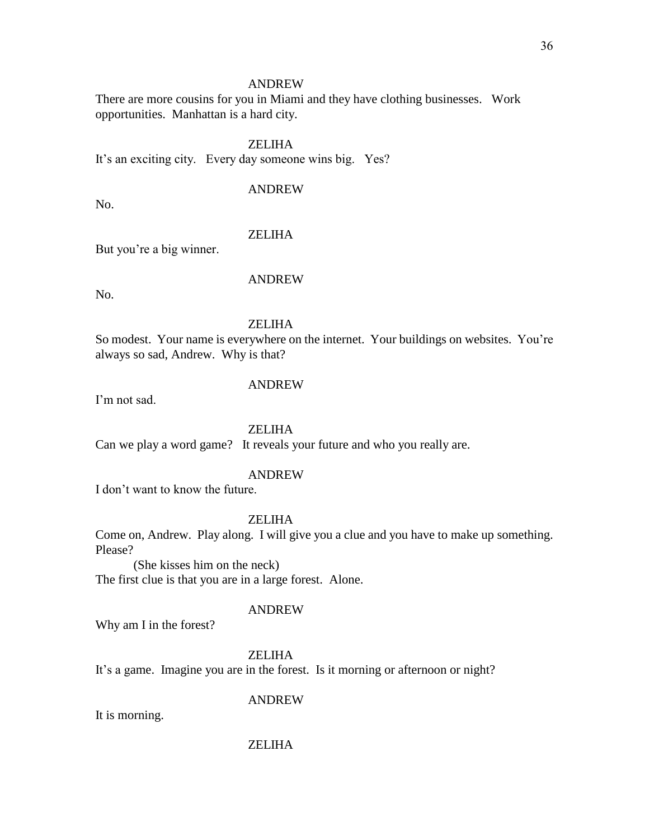There are more cousins for you in Miami and they have clothing businesses. Work opportunities. Manhattan is a hard city.

ZELIHA

It's an exciting city. Every day someone wins big. Yes?

### ANDREW

No.

### ZELIHA

But you're a big winner.

No.

### ANDREW

ZELIHA

So modest. Your name is everywhere on the internet. Your buildings on websites. You're always so sad, Andrew. Why is that?

### ANDREW

I'm not sad.

### ZELIHA

Can we play a word game? It reveals your future and who you really are.

### ANDREW

I don't want to know the future.

### ZELIHA

Come on, Andrew. Play along. I will give you a clue and you have to make up something. Please?

(She kisses him on the neck) The first clue is that you are in a large forest. Alone.

### ANDREW

Why am I in the forest?

### **ZELIHA**

It's a game. Imagine you are in the forest. Is it morning or afternoon or night?

### ANDREW

It is morning.

### ZELIHA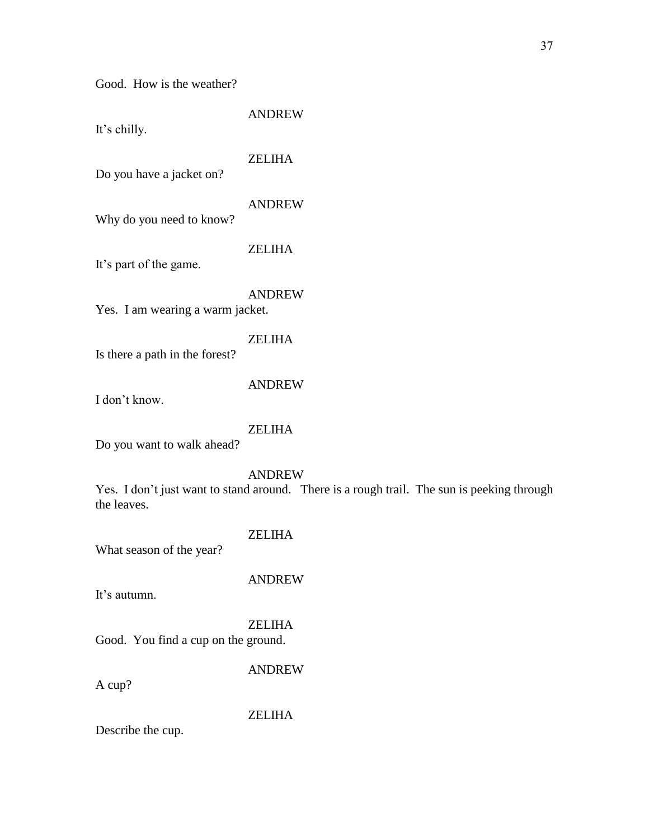Good. How is the weather?

ANDREW

It's chilly.

ZELIHA

Do you have a jacket on?

### ANDREW

Why do you need to know?

#### ZELIHA

It's part of the game.

### ANDREW

Yes. I am wearing a warm jacket.

### ZELIHA

Is there a path in the forest?

#### ANDREW

I don't know.

### ZELIHA

Do you want to walk ahead?

### ANDREW

Yes. I don't just want to stand around. There is a rough trail. The sun is peeking through the leaves.

### ZELIHA

What season of the year?

### ANDREW

It's autumn.

# ZELIHA

Good. You find a cup on the ground.

### ANDREW

A cup?

### ZELIHA

Describe the cup.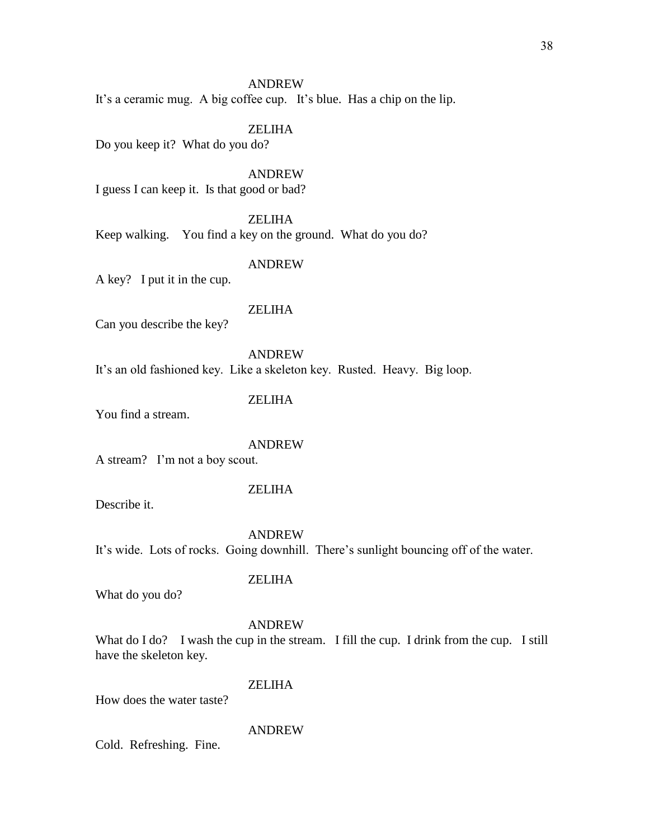It's a ceramic mug. A big coffee cup. It's blue. Has a chip on the lip.

#### ZELIHA

Do you keep it? What do you do?

ANDREW

I guess I can keep it. Is that good or bad?

ZELIHA

Keep walking. You find a key on the ground. What do you do?

#### ANDREW

A key? I put it in the cup.

### ZELIHA

Can you describe the key?

ANDREW It's an old fashioned key. Like a skeleton key. Rusted. Heavy. Big loop.

ZELIHA

You find a stream.

#### ANDREW

A stream? I'm not a boy scout.

#### ZELIHA

Describe it.

ANDREW

ZELIHA

It's wide. Lots of rocks. Going downhill. There's sunlight bouncing off of the water.

What do you do?

#### ANDREW

What do I do? I wash the cup in the stream. I fill the cup. I drink from the cup. I still have the skeleton key.

### ZELIHA

How does the water taste?

### ANDREW

Cold. Refreshing. Fine.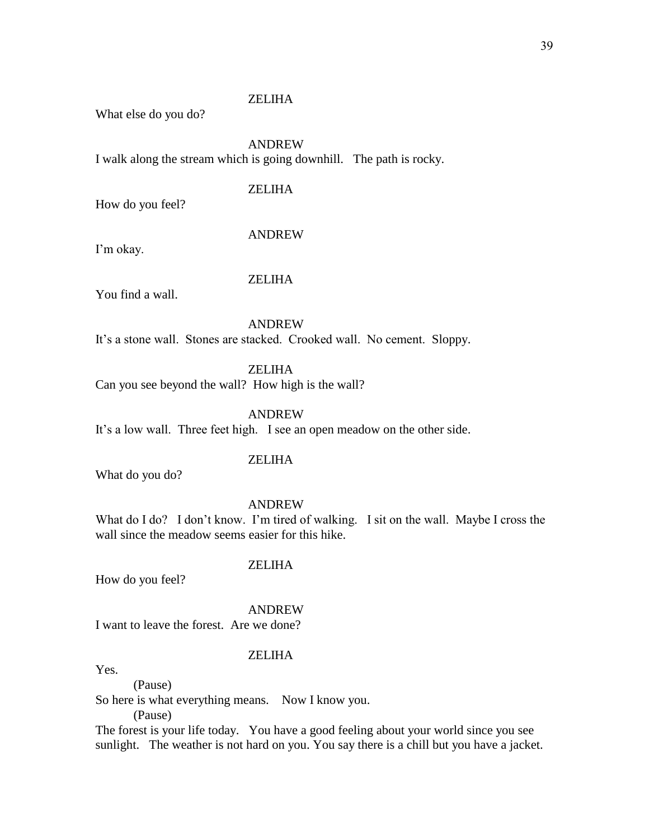What else do you do?

### ANDREW

I walk along the stream which is going downhill. The path is rocky.

### ZELIHA

How do you feel?

#### ANDREW

I'm okay.

### ZELIHA

You find a wall.

ANDREW

It's a stone wall. Stones are stacked. Crooked wall. No cement. Sloppy.

ZELIHA

Can you see beyond the wall? How high is the wall?

ANDREW

It's a low wall. Three feet high. I see an open meadow on the other side.

### ZELIHA

What do you do?

#### ANDREW

What do I do? I don't know. I'm tired of walking. I sit on the wall. Maybe I cross the wall since the meadow seems easier for this hike.

#### ZELIHA

How do you feel?

#### ANDREW

I want to leave the forest. Are we done?

### **ZELIHA**

Yes.

(Pause) So here is what everything means. Now I know you.

(Pause)

The forest is your life today. You have a good feeling about your world since you see sunlight. The weather is not hard on you. You say there is a chill but you have a jacket.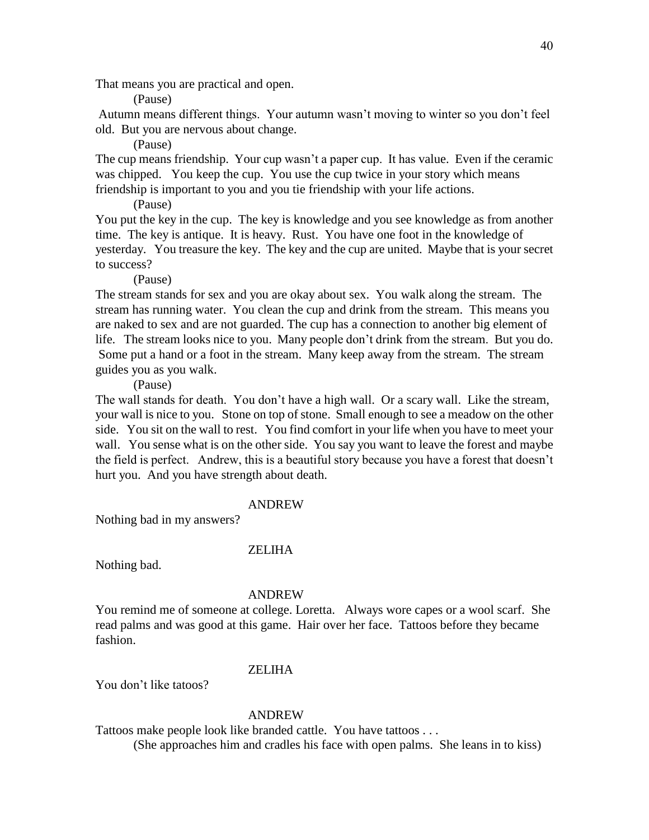That means you are practical and open.

(Pause)

Autumn means different things. Your autumn wasn't moving to winter so you don't feel old. But you are nervous about change.

(Pause)

The cup means friendship. Your cup wasn't a paper cup. It has value. Even if the ceramic was chipped. You keep the cup. You use the cup twice in your story which means friendship is important to you and you tie friendship with your life actions.

(Pause)

You put the key in the cup. The key is knowledge and you see knowledge as from another time. The key is antique. It is heavy. Rust. You have one foot in the knowledge of yesterday. You treasure the key. The key and the cup are united. Maybe that is your secret to success?

(Pause)

The stream stands for sex and you are okay about sex. You walk along the stream. The stream has running water. You clean the cup and drink from the stream. This means you are naked to sex and are not guarded. The cup has a connection to another big element of life. The stream looks nice to you. Many people don't drink from the stream. But you do. Some put a hand or a foot in the stream. Many keep away from the stream. The stream guides you as you walk.

(Pause)

The wall stands for death. You don't have a high wall. Or a scary wall. Like the stream, your wall is nice to you. Stone on top of stone. Small enough to see a meadow on the other side. You sit on the wall to rest. You find comfort in your life when you have to meet your wall. You sense what is on the other side. You say you want to leave the forest and maybe the field is perfect. Andrew, this is a beautiful story because you have a forest that doesn't hurt you. And you have strength about death.

#### ANDREW

Nothing bad in my answers?

#### ZELIHA

Nothing bad.

#### ANDREW

You remind me of someone at college. Loretta. Always wore capes or a wool scarf. She read palms and was good at this game. Hair over her face. Tattoos before they became fashion.

### ZELIHA

You don't like tatoos?

#### ANDREW

Tattoos make people look like branded cattle. You have tattoos . . .

(She approaches him and cradles his face with open palms. She leans in to kiss)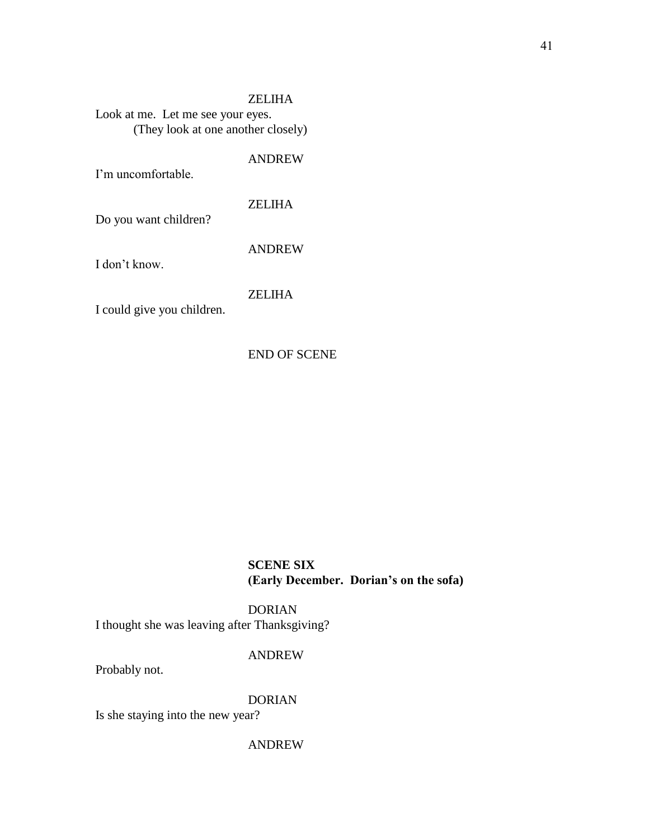ZELIHA Look at me. Let me see your eyes. (They look at one another closely)

ANDREW

I'm uncomfortable.

ZELIHA

Do you want children?

ANDREW

I don't know.

ZELIHA

I could give you children.

END OF SCENE

**SCENE SIX (Early December. Dorian's on the sofa)**

DORIAN I thought she was leaving after Thanksgiving?

### ANDREW

Probably not.

DORIAN

Is she staying into the new year?

ANDREW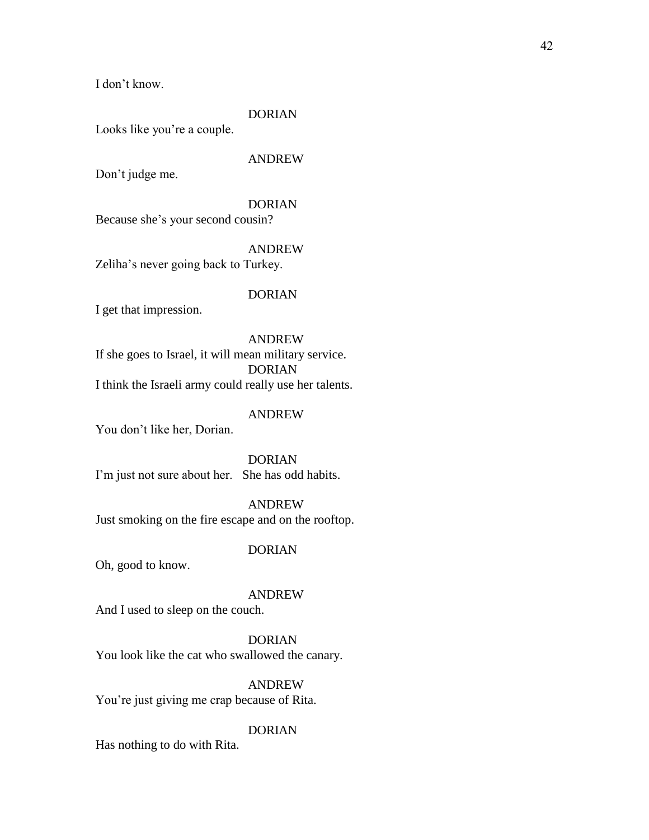I don't know.

### DORIAN

Looks like you're a couple.

### ANDREW

Don't judge me.

### DORIAN

Because she's your second cousin?

### ANDREW

Zeliha's never going back to Turkey.

#### DORIAN

I get that impression.

ANDREW If she goes to Israel, it will mean military service. DORIAN I think the Israeli army could really use her talents.

### ANDREW

You don't like her, Dorian.

DORIAN I'm just not sure about her. She has odd habits.

#### ANDREW

Just smoking on the fire escape and on the rooftop.

#### DORIAN

Oh, good to know.

### ANDREW

And I used to sleep on the couch.

#### DORIAN

You look like the cat who swallowed the canary.

### ANDREW

You're just giving me crap because of Rita.

### DORIAN

Has nothing to do with Rita.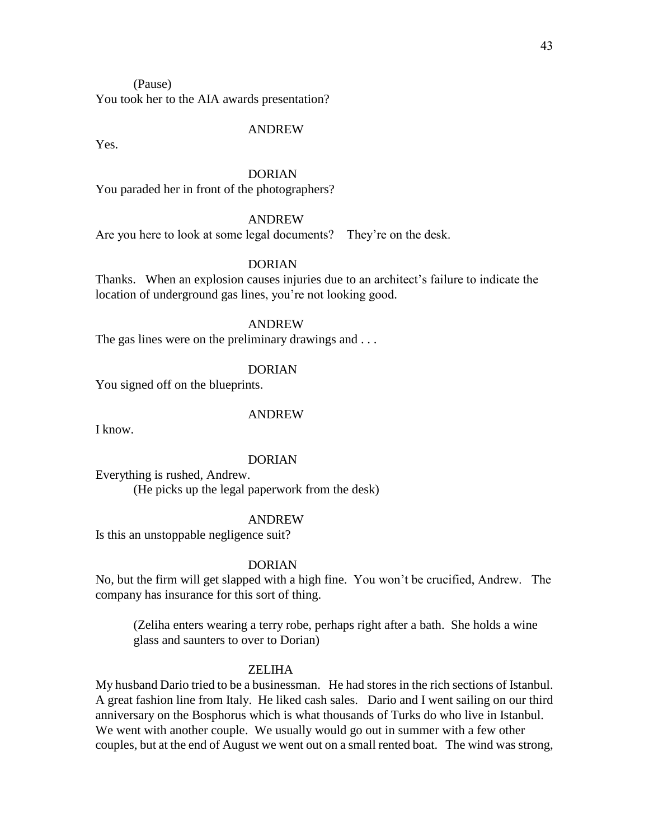You took her to the AIA awards presentation?

#### ANDREW

Yes.

### DORIAN

You paraded her in front of the photographers?

### ANDREW

Are you here to look at some legal documents? They're on the desk.

### DORIAN

Thanks. When an explosion causes injuries due to an architect's failure to indicate the location of underground gas lines, you're not looking good.

#### ANDREW

The gas lines were on the preliminary drawings and ...

### DORIAN

You signed off on the blueprints.

#### ANDREW

I know.

#### DORIAN

Everything is rushed, Andrew. (He picks up the legal paperwork from the desk)

#### ANDREW

Is this an unstoppable negligence suit?

#### DORIAN

No, but the firm will get slapped with a high fine. You won't be crucified, Andrew. The company has insurance for this sort of thing.

(Zeliha enters wearing a terry robe, perhaps right after a bath. She holds a wine glass and saunters to over to Dorian)

#### ZELIHA

My husband Dario tried to be a businessman. He had stores in the rich sections of Istanbul. A great fashion line from Italy. He liked cash sales. Dario and I went sailing on our third anniversary on the Bosphorus which is what thousands of Turks do who live in Istanbul. We went with another couple. We usually would go out in summer with a few other couples, but at the end of August we went out on a small rented boat. The wind was strong,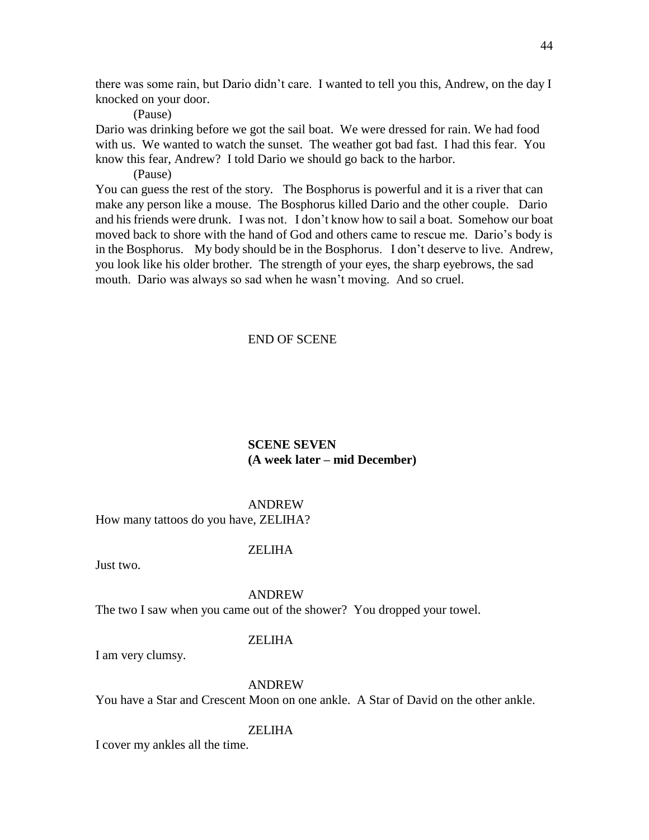there was some rain, but Dario didn't care. I wanted to tell you this, Andrew, on the day I knocked on your door.

(Pause)

Dario was drinking before we got the sail boat. We were dressed for rain. We had food with us. We wanted to watch the sunset. The weather got bad fast. I had this fear. You know this fear, Andrew? I told Dario we should go back to the harbor.

(Pause)

You can guess the rest of the story. The Bosphorus is powerful and it is a river that can make any person like a mouse. The Bosphorus killed Dario and the other couple. Dario and his friends were drunk. I was not. I don't know how to sail a boat. Somehow our boat moved back to shore with the hand of God and others came to rescue me. Dario's body is in the Bosphorus. My body should be in the Bosphorus. I don't deserve to live. Andrew, you look like his older brother. The strength of your eyes, the sharp eyebrows, the sad mouth. Dario was always so sad when he wasn't moving. And so cruel.

### END OF SCENE

### **SCENE SEVEN (A week later – mid December)**

#### ANDREW

How many tattoos do you have, ZELIHA?

#### ZELIHA

Just two.

#### ANDREW

The two I saw when you came out of the shower? You dropped your towel.

#### ZELIHA

I am very clumsy.

### ANDREW

You have a Star and Crescent Moon on one ankle. A Star of David on the other ankle.

### ZELIHA

I cover my ankles all the time.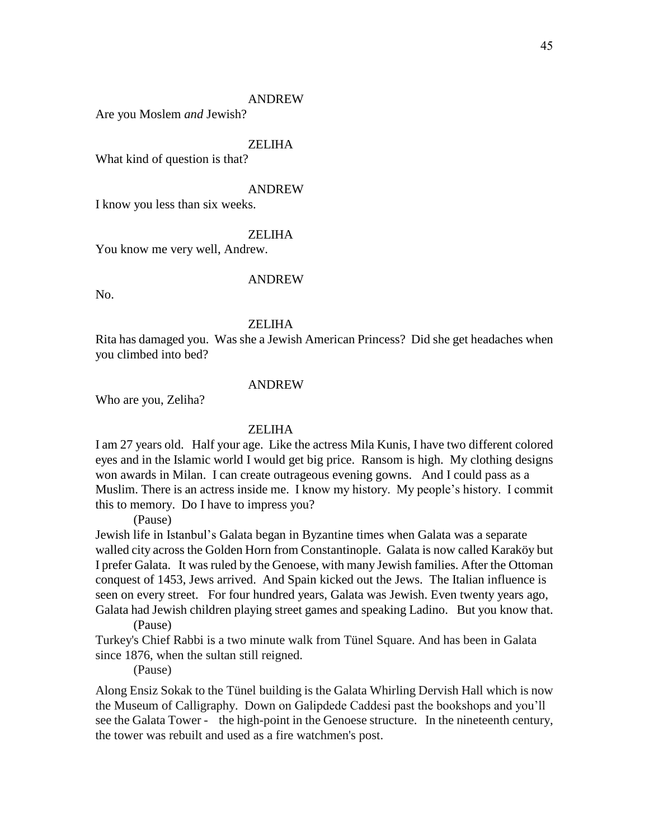Are you Moslem *and* Jewish?

### ZELIHA

What kind of question is that?

#### ANDREW

I know you less than six weeks.

### ZELIHA

You know me very well, Andrew.

### ANDREW

No.

#### ZELIHA

Rita has damaged you. Was she a Jewish American Princess? Did she get headaches when you climbed into bed?

#### ANDREW

Who are you, Zeliha?

### ZELIHA

I am 27 years old. Half your age. Like the actress Mila Kunis, I have two different colored eyes and in the Islamic world I would get big price. Ransom is high. My clothing designs won awards in Milan. I can create outrageous evening gowns. And I could pass as a Muslim. There is an actress inside me. I know my history. My people's history. I commit this to memory. Do I have to impress you?

(Pause)

Jewish life in Istanbul's Galata began in Byzantine times when Galata was a separate walled city across the Golden Horn from Constantinople. Galata is now called Karaköy but I prefer Galata. It was ruled by the Genoese, with many Jewish families. After the Ottoman conquest of 1453, Jews arrived. And Spain kicked out the Jews. The Italian influence is seen on every street. For four hundred years, Galata was Jewish. Even twenty years ago, Galata had Jewish children playing street games and speaking Ladino. But you know that.

(Pause)

Turkey's Chief Rabbi is a two minute walk from Tünel Square. And has been in Galata since 1876, when the sultan still reigned.

(Pause)

Along Ensiz Sokak to the Tünel building is the Galata Whirling Dervish Hall which is now the Museum of Calligraphy. Down on Galipdede Caddesi past the bookshops and you'll see the Galata Tower - the high-point in the Genoese structure. In the nineteenth century, the tower was rebuilt and used as a fire watchmen's post.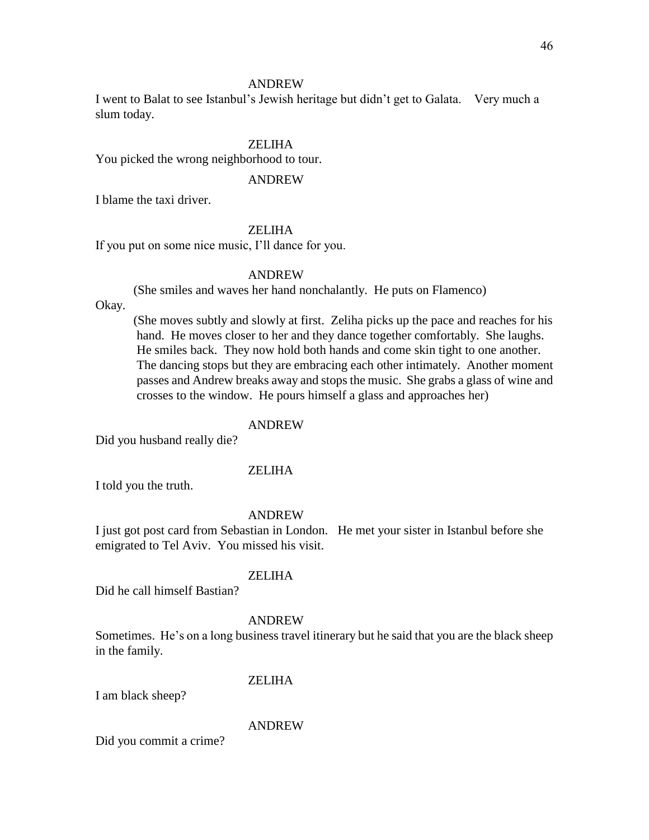I went to Balat to see Istanbul's Jewish heritage but didn't get to Galata. Very much a slum today.

### ZELIHA

You picked the wrong neighborhood to tour.

### ANDREW

I blame the taxi driver.

### ZELIHA

If you put on some nice music, I'll dance for you.

### ANDREW

(She smiles and waves her hand nonchalantly. He puts on Flamenco)

Okay.

(She moves subtly and slowly at first. Zeliha picks up the pace and reaches for his hand. He moves closer to her and they dance together comfortably. She laughs. He smiles back. They now hold both hands and come skin tight to one another. The dancing stops but they are embracing each other intimately. Another moment passes and Andrew breaks away and stops the music. She grabs a glass of wine and crosses to the window. He pours himself a glass and approaches her)

### ANDREW

Did you husband really die?

### ZELIHA

I told you the truth.

### ANDREW

I just got post card from Sebastian in London. He met your sister in Istanbul before she emigrated to Tel Aviv. You missed his visit.

### ZELIHA

Did he call himself Bastian?

### ANDREW

Sometimes. He's on a long business travel itinerary but he said that you are the black sheep in the family.

### ZELIHA

I am black sheep?

### ANDREW

Did you commit a crime?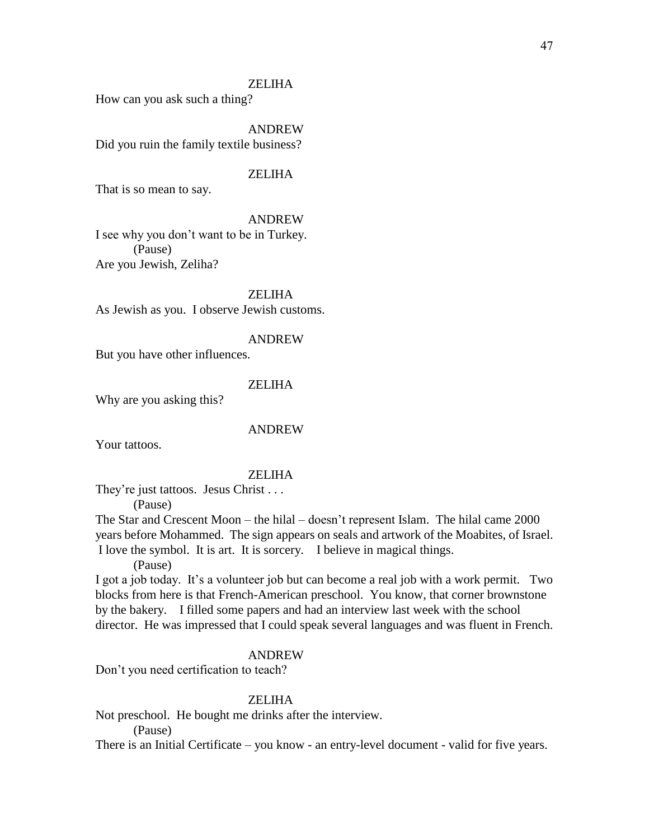How can you ask such a thing?

ANDREW Did you ruin the family textile business?

### **ZELIHA**

That is so mean to say.

#### ANDREW

I see why you don't want to be in Turkey. (Pause) Are you Jewish, Zeliha?

ZELIHA

As Jewish as you. I observe Jewish customs.

#### ANDREW

But you have other influences.

### ZELIHA

Why are you asking this?

#### ANDREW

Your tattoos.

#### ZELIHA

They're just tattoos. Jesus Christ . . .

(Pause)

The Star and Crescent Moon – the hilal – doesn't represent Islam. The hilal came 2000 years before Mohammed. The sign appears on seals and artwork of the Moabites, of Israel. I love the symbol. It is art. It is sorcery. I believe in magical things.

(Pause)

I got a job today. It's a volunteer job but can become a real job with a work permit. Two blocks from here is that French-American preschool. You know, that corner brownstone by the bakery. I filled some papers and had an interview last week with the school director. He was impressed that I could speak several languages and was fluent in French.

### ANDREW

Don't you need certification to teach?

### ZELIHA

Not preschool. He bought me drinks after the interview.

(Pause)

There is an Initial Certificate – you know - an entry-level document - valid for five years.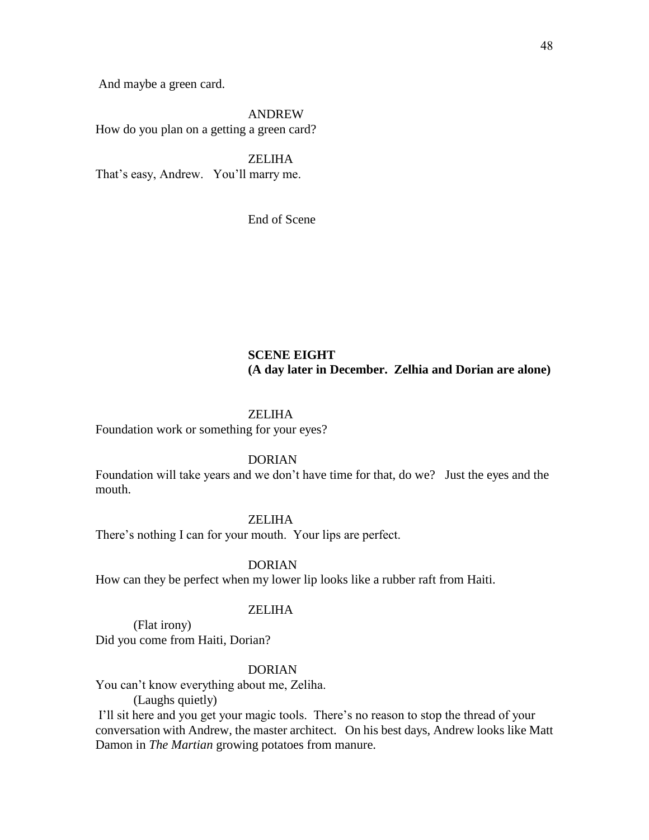And maybe a green card.

ANDREW

How do you plan on a getting a green card?

**ZELIHA** That's easy, Andrew. You'll marry me.

End of Scene

### **SCENE EIGHT (A day later in December. Zelhia and Dorian are alone)**

### ZELIHA

Foundation work or something for your eyes?

DORIAN

Foundation will take years and we don't have time for that, do we? Just the eyes and the mouth.

#### ZELIHA

There's nothing I can for your mouth. Your lips are perfect.

DORIAN

How can they be perfect when my lower lip looks like a rubber raft from Haiti.

#### ZELIHA

(Flat irony) Did you come from Haiti, Dorian?

### DORIAN

You can't know everything about me, Zeliha.

(Laughs quietly)

I'll sit here and you get your magic tools. There's no reason to stop the thread of your conversation with Andrew, the master architect. On his best days, Andrew looks like Matt Damon in *The Martian* growing potatoes from manure.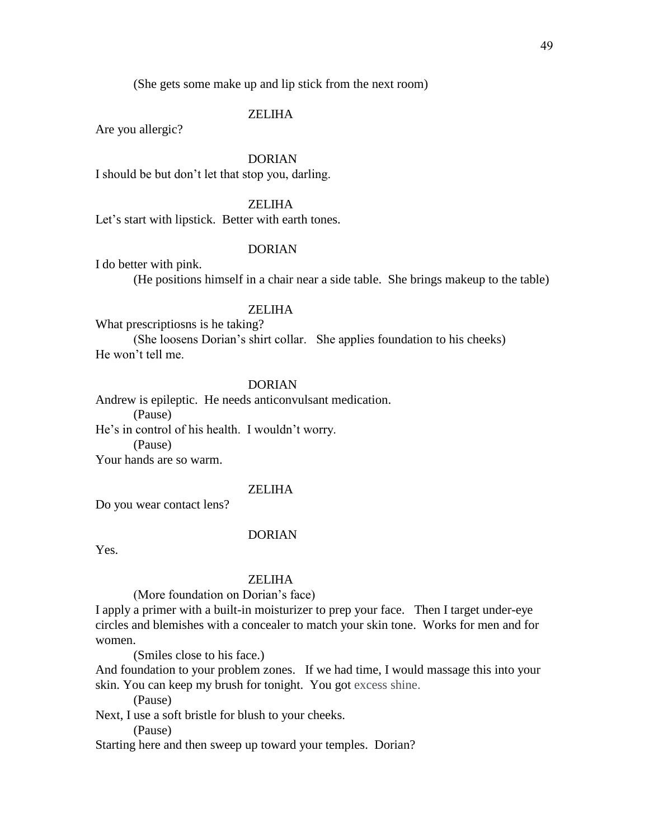(She gets some make up and lip stick from the next room)

### ZELIHA

Are you allergic?

### DORIAN

I should be but don't let that stop you, darling.

### ZELIHA

Let's start with lipstick. Better with earth tones.

#### DORIAN

I do better with pink.

(He positions himself in a chair near a side table. She brings makeup to the table)

### **ZELIHA**

What prescriptiosns is he taking?

(She loosens Dorian's shirt collar. She applies foundation to his cheeks) He won't tell me.

### DORIAN

Andrew is epileptic. He needs anticonvulsant medication. (Pause) He's in control of his health. I wouldn't worry. (Pause) Your hands are so warm.

### ZELIHA

Do you wear contact lens?

#### DORIAN

Yes.

#### ZELIHA

(More foundation on Dorian's face)

I apply a primer with a built-in moisturizer to prep your face. Then I target under-eye circles and blemishes with a concealer to match your skin tone. Works for men and for women.

(Smiles close to his face.)

And foundation to your problem zones. If we had time, I would massage this into your skin. You can keep my brush for tonight. You got excess shine.

(Pause)

Next, I use a soft bristle for blush to your cheeks.

(Pause)

Starting here and then sweep up toward your temples. Dorian?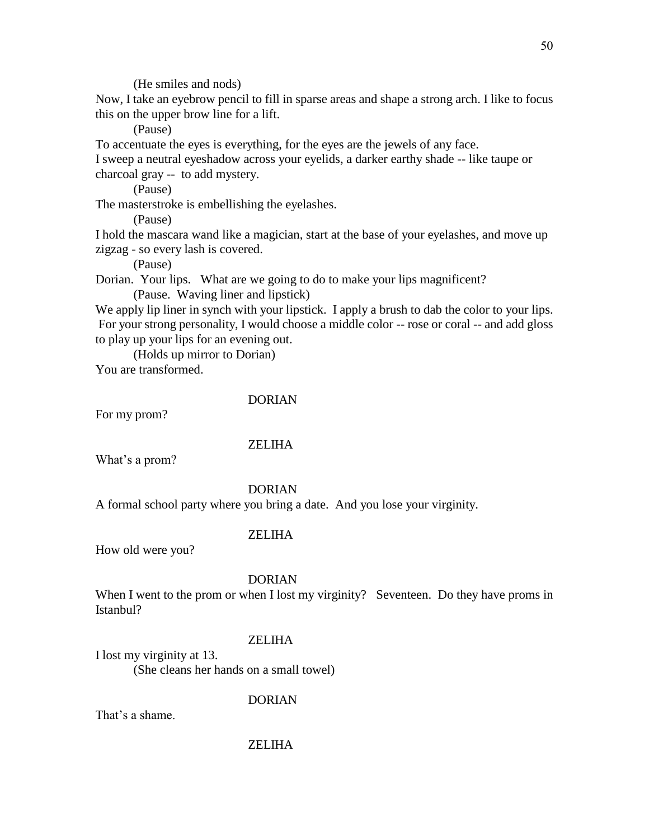(He smiles and nods)

Now, I take an eyebrow pencil to fill in sparse areas and shape a strong arch. I like to focus this on the upper brow line for a lift.

(Pause)

To accentuate the eyes is everything, for the eyes are the jewels of any face.

I sweep a neutral eyeshadow across your eyelids, a darker earthy shade -- like taupe or charcoal gray -- to add mystery.

(Pause)

The masterstroke is embellishing the eyelashes.

(Pause)

I hold the mascara wand like a magician, start at the base of your eyelashes, and move up zigzag - so every lash is covered.

(Pause)

Dorian. Your lips. What are we going to do to make your lips magnificent? (Pause. Waving liner and lipstick)

We apply lip liner in synch with your lipstick. I apply a brush to dab the color to your lips. For your strong personality, I would choose a middle color -- rose or coral -- and add gloss to play up your lips for an evening out.

(Holds up mirror to Dorian)

You are transformed.

### DORIAN

For my prom?

### ZELIHA

What's a prom?

### DORIAN

A formal school party where you bring a date. And you lose your virginity.

### ZELIHA

How old were you?

### DORIAN

When I went to the prom or when I lost my virginity? Seventeen. Do they have proms in Istanbul?

### ZELIHA

I lost my virginity at 13. (She cleans her hands on a small towel)

DORIAN

That's a shame.

50

### ZELIHA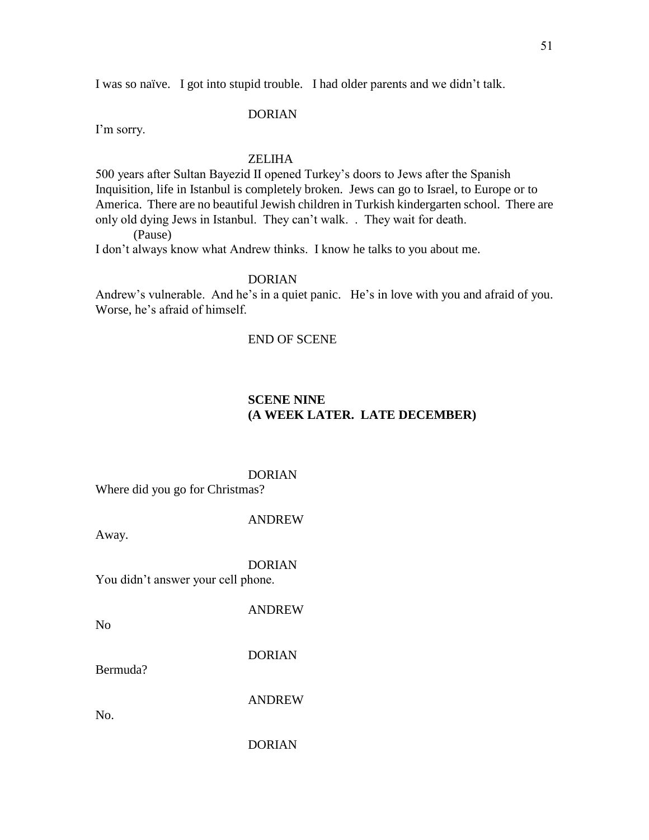I was so naïve. I got into stupid trouble. I had older parents and we didn't talk.

### DORIAN

I'm sorry.

### ZELIHA

500 years after Sultan Bayezid II opened Turkey's doors to Jews after the Spanish Inquisition, life in Istanbul is completely broken. Jews can go to Israel, to Europe or to America. There are no beautiful Jewish children in Turkish kindergarten school. There are only old dying Jews in Istanbul. They can't walk. . They wait for death.

(Pause)

I don't always know what Andrew thinks. I know he talks to you about me.

### DORIAN

Andrew's vulnerable. And he's in a quiet panic. He's in love with you and afraid of you. Worse, he's afraid of himself.

### END OF SCENE

### **SCENE NINE (A WEEK LATER. LATE DECEMBER)**

DORIAN Where did you go for Christmas?

### ANDREW

Away.

DORIAN

You didn't answer your cell phone.

ANDREW

No

DORIAN

Bermuda?

ANDREW

No.

DORIAN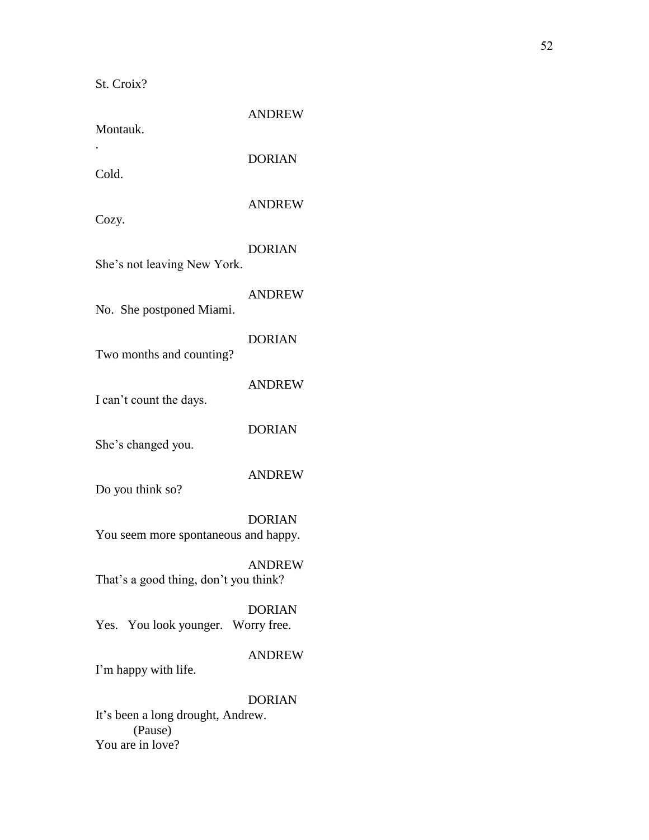St. Croix?

| Montauk.                                     | <b>ANDREW</b> |
|----------------------------------------------|---------------|
| Cold.                                        | <b>DORIAN</b> |
| Cozy.                                        | <b>ANDREW</b> |
| She's not leaving New York.                  | <b>DORIAN</b> |
| No. She postponed Miami.                     | <b>ANDREW</b> |
|                                              | <b>DORIAN</b> |
| Two months and counting?                     | <b>ANDREW</b> |
| I can't count the days.                      | <b>DORIAN</b> |
| She's changed you.                           | <b>ANDREW</b> |
| Do you think so?                             | <b>DORIAN</b> |
| You seem more spontaneous and happy.         |               |
| That's a good thing, don't you think?        | <b>ANDREW</b> |
| Yes. You look younger. Worry free.           | <b>DORIAN</b> |
| I'm happy with life.                         | <b>ANDREW</b> |
| It's been a long drought, Andrew.<br>(Pause) | <b>DORIAN</b> |
| You are in love?                             |               |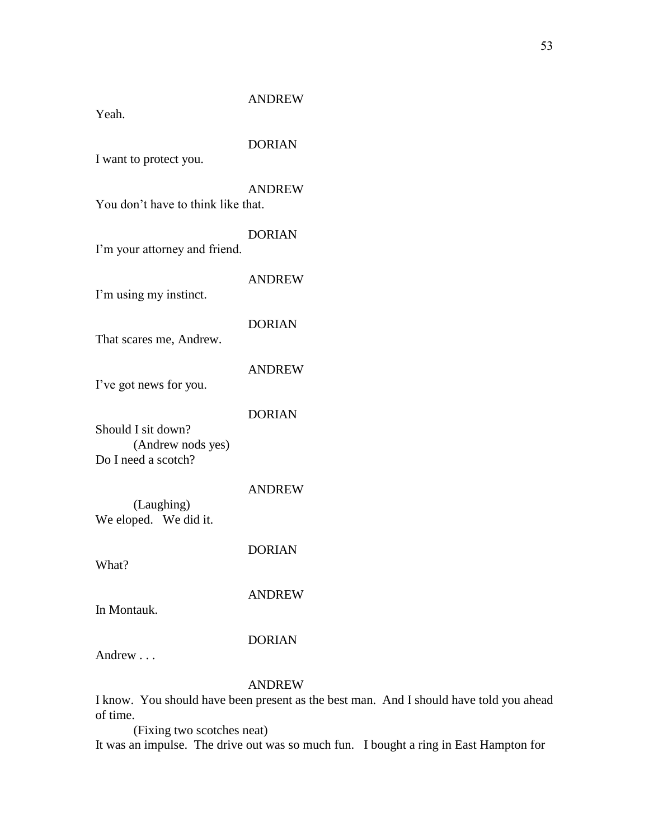Yeah.

# DORIAN

I want to protect you.

ANDREW

You don't have to think like that.

DORIAN

I'm your attorney and friend.

I'm using my instinct.

DORIAN

ANDREW

That scares me, Andrew.

ANDREW

I've got news for you.

DORIAN

Should I sit down? (Andrew nods yes) Do I need a scotch?

ANDREW

(Laughing) We eloped. We did it.

DORIAN

What?

ANDREW

In Montauk.

### DORIAN

Andrew . . .

### ANDREW

I know. You should have been present as the best man. And I should have told you ahead of time.

(Fixing two scotches neat) It was an impulse. The drive out was so much fun. I bought a ring in East Hampton for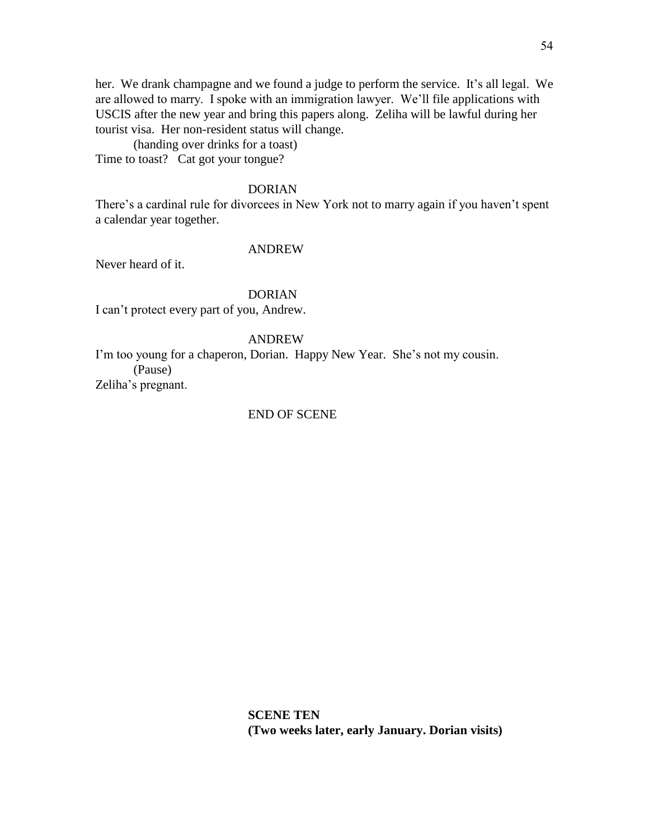her. We drank champagne and we found a judge to perform the service. It's all legal. We are allowed to marry. I spoke with an immigration lawyer. We'll file applications with USCIS after the new year and bring this papers along. Zeliha will be lawful during her tourist visa. Her non-resident status will change.

(handing over drinks for a toast) Time to toast? Cat got your tongue?

#### DORIAN

There's a cardinal rule for divorcees in New York not to marry again if you haven't spent a calendar year together.

#### ANDREW

Never heard of it.

#### DORIAN

I can't protect every part of you, Andrew.

### ANDREW

I'm too young for a chaperon, Dorian. Happy New Year. She's not my cousin. (Pause) Zeliha's pregnant.

### END OF SCENE

**SCENE TEN (Two weeks later, early January. Dorian visits)**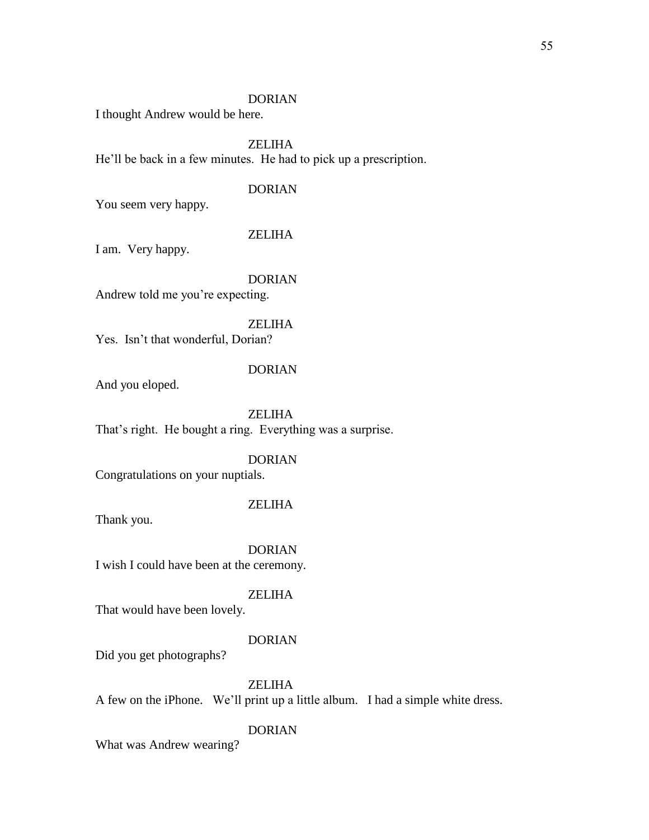### DORIAN

I thought Andrew would be here.

### ZELIHA

He'll be back in a few minutes. He had to pick up a prescription.

### DORIAN

You seem very happy.

### ZELIHA

I am. Very happy.

### DORIAN

Andrew told me you're expecting.

### ZELIHA

Yes. Isn't that wonderful, Dorian?

### DORIAN

And you eloped.

ZELIHA That's right. He bought a ring. Everything was a surprise.

### DORIAN

Congratulations on your nuptials.

### ZELIHA

Thank you.

DORIAN I wish I could have been at the ceremony.

#### ZELIHA

That would have been lovely.

#### DORIAN

Did you get photographs?

### ZELIHA

A few on the iPhone. We'll print up a little album. I had a simple white dress.

### DORIAN

What was Andrew wearing?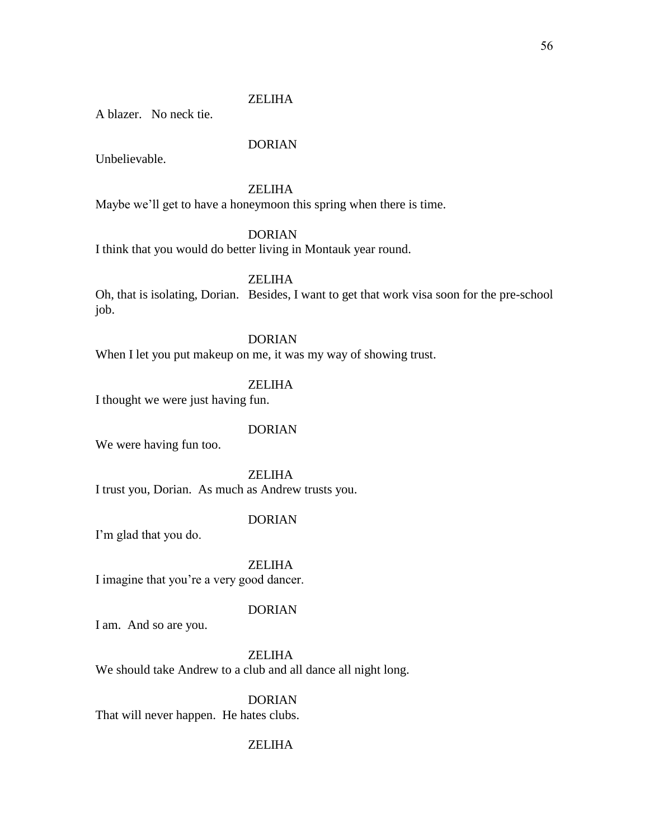A blazer. No neck tie.

### DORIAN

Unbelievable.

### ZELIHA

Maybe we'll get to have a honeymoon this spring when there is time.

### DORIAN

I think that you would do better living in Montauk year round.

ZELIHA

Oh, that is isolating, Dorian. Besides, I want to get that work visa soon for the pre-school job.

### DORIAN

When I let you put makeup on me, it was my way of showing trust.

### ZELIHA

I thought we were just having fun.

### DORIAN

We were having fun too.

ZELIHA I trust you, Dorian. As much as Andrew trusts you.

### DORIAN

I'm glad that you do.

ZELIHA

I imagine that you're a very good dancer.

### DORIAN

I am. And so are you.

ZELIHA We should take Andrew to a club and all dance all night long.

DORIAN That will never happen. He hates clubs.

### ZELIHA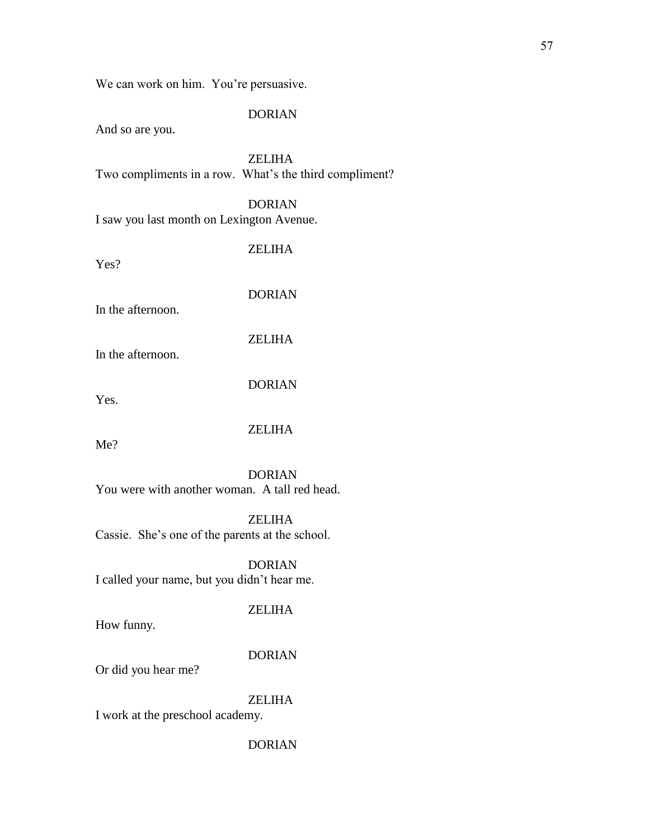We can work on him. You're persuasive.

### DORIAN

And so are you.

ZELIHA Two compliments in a row. What's the third compliment?

DORIAN I saw you last month on Lexington Avenue.

Yes?

ZELIHA

DORIAN

In the afternoon.

ZELIHA

In the afternoon.

DORIAN

Yes.

ZELIHA

Me?

DORIAN You were with another woman. A tall red head.

ZELIHA Cassie. She's one of the parents at the school.

DORIAN I called your name, but you didn't hear me.

### ZELIHA

How funny.

DORIAN

Or did you hear me?

ZELIHA

I work at the preschool academy.

DORIAN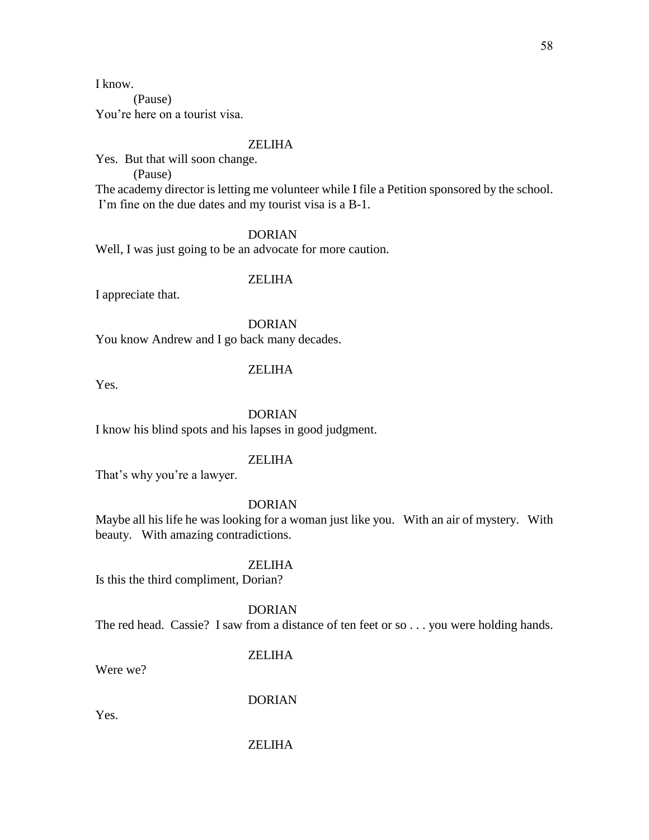I know.

(Pause) You're here on a tourist visa.

### ZELIHA

Yes. But that will soon change.

(Pause)

The academy director is letting me volunteer while I file a Petition sponsored by the school. I'm fine on the due dates and my tourist visa is a B-1.

### DORIAN

Well, I was just going to be an advocate for more caution.

### ZELIHA

I appreciate that.

DORIAN You know Andrew and I go back many decades.

### ZELIHA

Yes.

### DORIAN

I know his blind spots and his lapses in good judgment.

### ZELIHA

That's why you're a lawyer.

### DORIAN

Maybe all his life he was looking for a woman just like you. With an air of mystery. With beauty. With amazing contradictions.

### **ZELIHA**

Is this the third compliment, Dorian?

DORIAN

The red head. Cassie? I saw from a distance of ten feet or so . . . you were holding hands.

### **ZELIHA**

Were we?

DORIAN

Yes.

# 58

### ZELIHA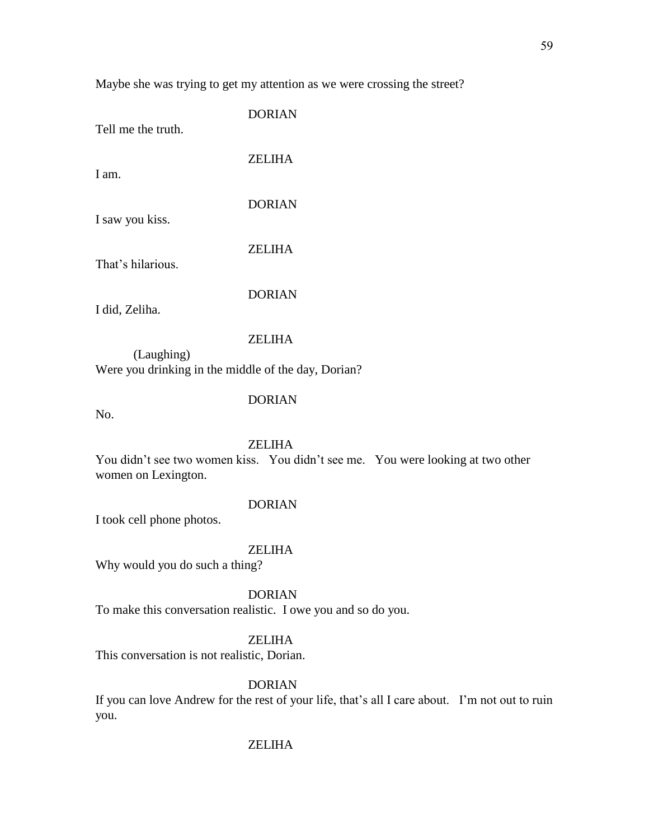Maybe she was trying to get my attention as we were crossing the street?

| <b>DORIAN</b> |
|---------------|
| ZELIHA        |
| <b>DORIAN</b> |
| <b>ZELIHA</b> |
| <b>DORIAN</b> |
|               |

### ZELIHA

(Laughing) Were you drinking in the middle of the day, Dorian?

DORIAN

No.

### ZELIHA

You didn't see two women kiss. You didn't see me. You were looking at two other women on Lexington.

### DORIAN

I took cell phone photos.

### ZELIHA

Why would you do such a thing?

#### DORIAN

To make this conversation realistic. I owe you and so do you.

#### ZELIHA

This conversation is not realistic, Dorian.

### DORIAN

If you can love Andrew for the rest of your life, that's all I care about. I'm not out to ruin you.

### ZELIHA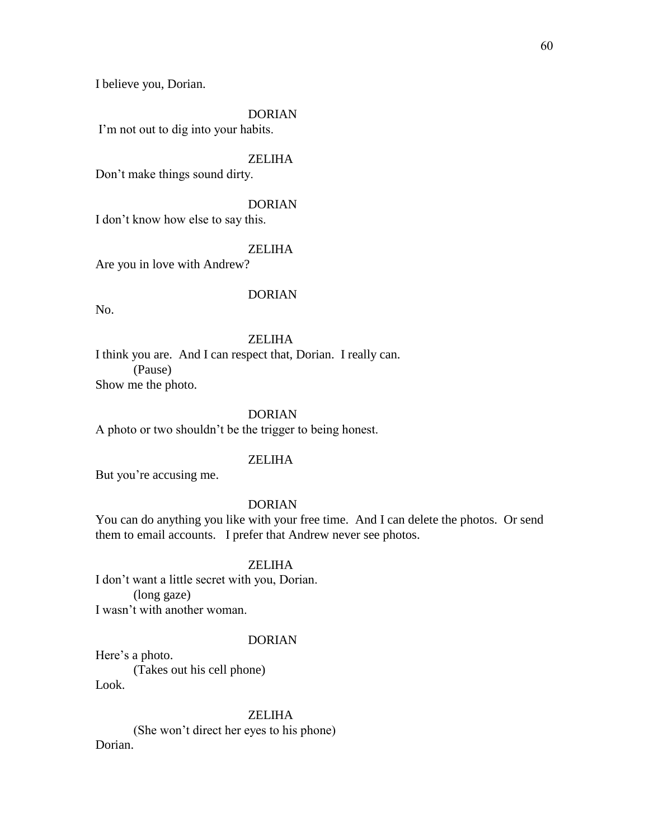I believe you, Dorian.

#### DORIAN

I'm not out to dig into your habits.

### ZELIHA

Don't make things sound dirty.

### DORIAN

I don't know how else to say this.

#### ZELIHA

Are you in love with Andrew?

#### DORIAN

No.

### ZELIHA

I think you are. And I can respect that, Dorian. I really can. (Pause) Show me the photo.

### DORIAN

A photo or two shouldn't be the trigger to being honest.

#### ZELIHA

But you're accusing me.

### DORIAN

You can do anything you like with your free time. And I can delete the photos. Or send them to email accounts. I prefer that Andrew never see photos.

#### **ZELIHA**

I don't want a little secret with you, Dorian. (long gaze) I wasn't with another woman.

#### DORIAN

Here's a photo. (Takes out his cell phone) Look.

ZELIHA (She won't direct her eyes to his phone) Dorian.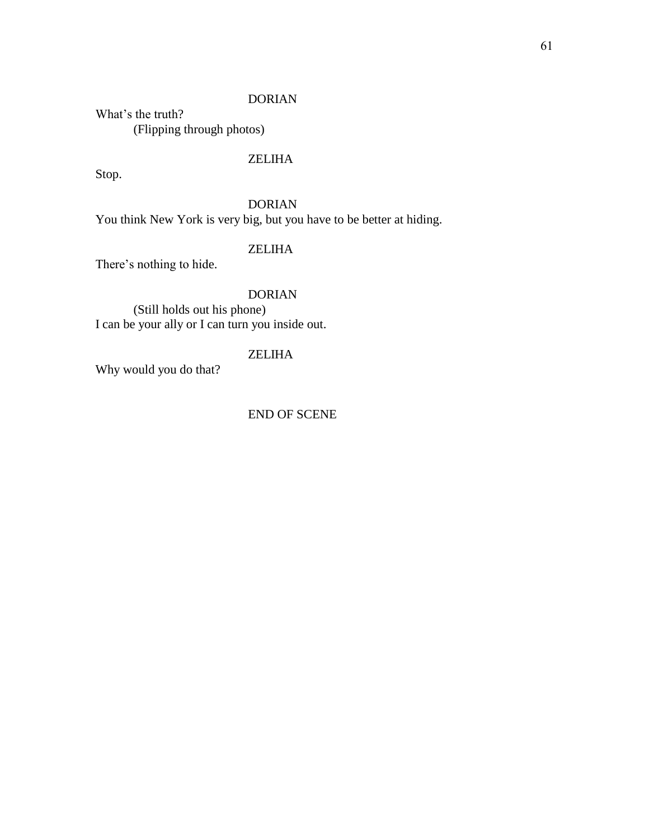#### DORIAN

What's the truth? (Flipping through photos)

### ZELIHA

Stop.

### DORIAN

You think New York is very big, but you have to be better at hiding.

### ZELIHA

There's nothing to hide.

### DORIAN

(Still holds out his phone) I can be your ally or I can turn you inside out.

### ZELIHA

Why would you do that?

### END OF SCENE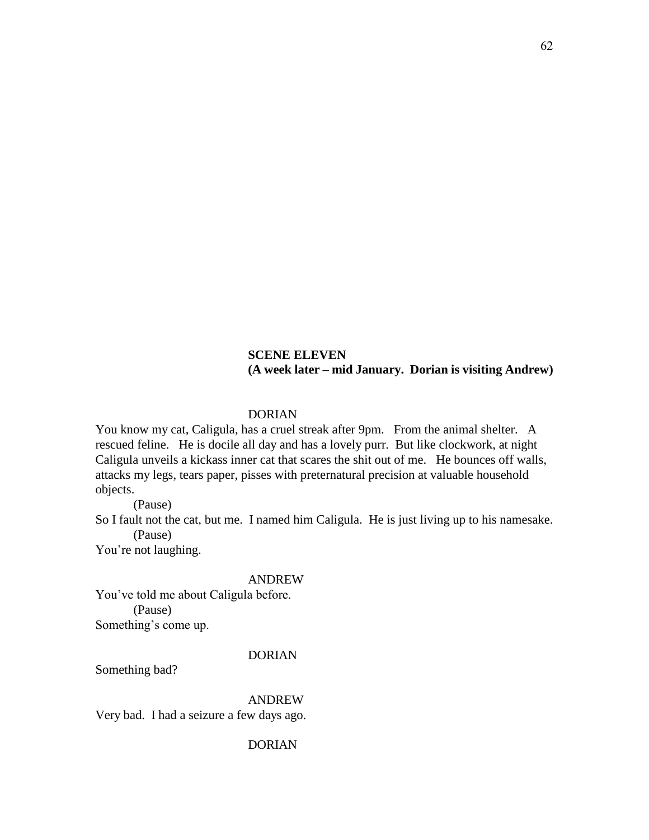### **SCENE ELEVEN (A week later – mid January. Dorian is visiting Andrew)**

### DORIAN

You know my cat, Caligula, has a cruel streak after 9pm. From the animal shelter. A rescued feline. He is docile all day and has a lovely purr. But like clockwork, at night Caligula unveils a kickass inner cat that scares the shit out of me. He bounces off walls, attacks my legs, tears paper, pisses with preternatural precision at valuable household objects.

(Pause)

So I fault not the cat, but me. I named him Caligula. He is just living up to his namesake. (Pause)

You're not laughing.

#### ANDREW

You've told me about Caligula before. (Pause) Something's come up.

### DORIAN

Something bad?

ANDREW

Very bad. I had a seizure a few days ago.

62

DORIAN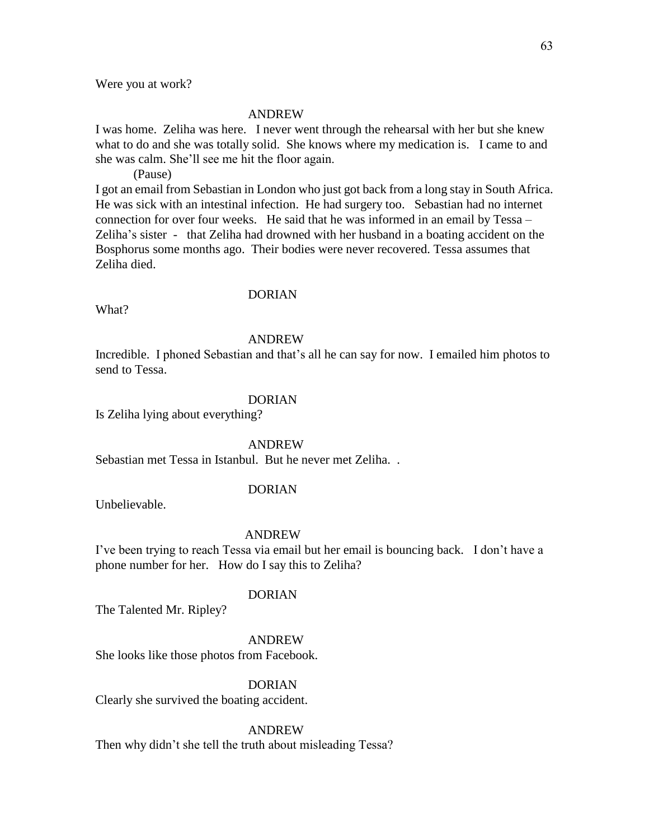Were you at work?

#### ANDREW

I was home. Zeliha was here. I never went through the rehearsal with her but she knew what to do and she was totally solid. She knows where my medication is. I came to and she was calm. She'll see me hit the floor again.

(Pause)

I got an email from Sebastian in London who just got back from a long stay in South Africa. He was sick with an intestinal infection. He had surgery too. Sebastian had no internet connection for over four weeks. He said that he was informed in an email by Tessa – Zeliha's sister - that Zeliha had drowned with her husband in a boating accident on the Bosphorus some months ago. Their bodies were never recovered. Tessa assumes that Zeliha died.

#### DORIAN

What?

#### ANDREW

Incredible. I phoned Sebastian and that's all he can say for now. I emailed him photos to send to Tessa.

#### DORIAN

Is Zeliha lying about everything?

ANDREW

Sebastian met Tessa in Istanbul. But he never met Zeliha. .

#### DORIAN

Unbelievable.

#### ANDREW

I've been trying to reach Tessa via email but her email is bouncing back. I don't have a phone number for her. How do I say this to Zeliha?

### DORIAN

The Talented Mr. Ripley?

#### ANDREW

She looks like those photos from Facebook.

### DORIAN

Clearly she survived the boating accident.

#### ANDREW

Then why didn't she tell the truth about misleading Tessa?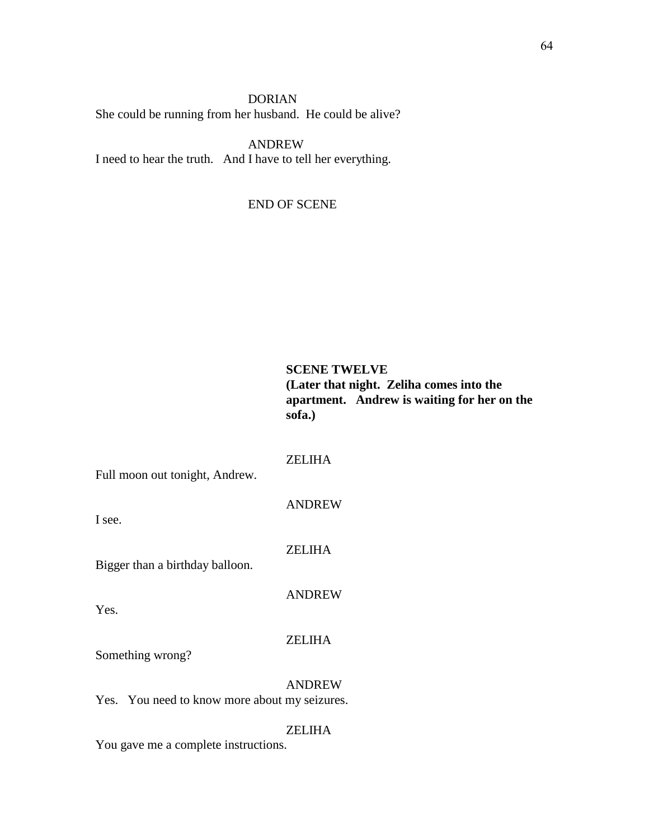### DORIAN She could be running from her husband. He could be alive?

ANDREW I need to hear the truth. And I have to tell her everything.

### END OF SCENE

### **SCENE TWELVE (Later that night. Zeliha comes into the apartment. Andrew is waiting for her on the sofa.)**

### ZELIHA

Full moon out tonight, Andrew.

I see.

ANDREW

ZELIHA

Bigger than a birthday balloon.

ANDREW

Yes.

#### ZELIHA

Something wrong?

ANDREW

Yes. You need to know more about my seizures.

ZELIHA

You gave me a complete instructions.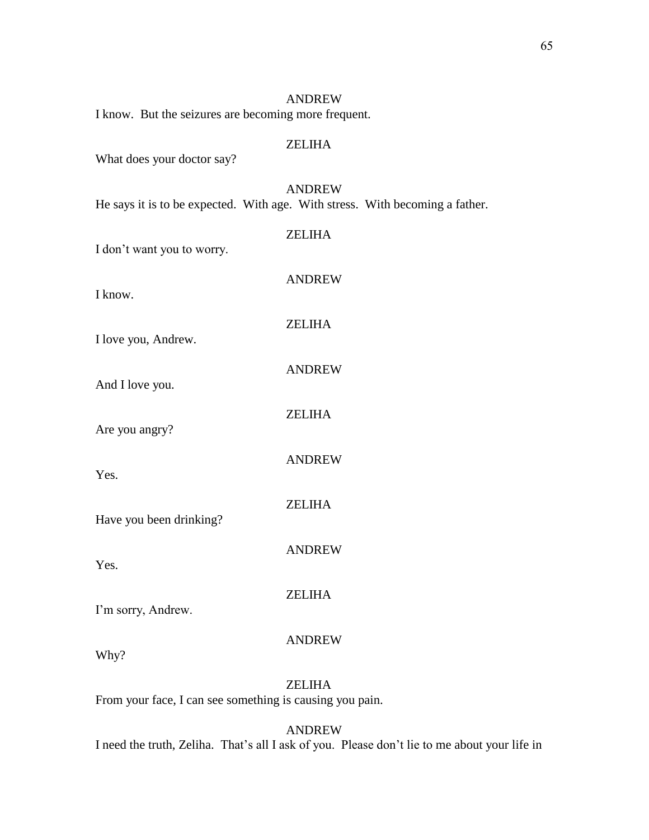|                                                      | <b>ANDREW</b>                                                                                 |
|------------------------------------------------------|-----------------------------------------------------------------------------------------------|
| I know. But the seizures are becoming more frequent. |                                                                                               |
| What does your doctor say?                           | <b>ZELIHA</b>                                                                                 |
|                                                      | <b>ANDREW</b><br>He says it is to be expected. With age. With stress. With becoming a father. |
| I don't want you to worry.                           | <b>ZELIHA</b>                                                                                 |
| I know.                                              | <b>ANDREW</b>                                                                                 |
| I love you, Andrew.                                  | <b>ZELIHA</b>                                                                                 |
| And I love you.                                      | <b>ANDREW</b>                                                                                 |
| Are you angry?                                       | <b>ZELIHA</b>                                                                                 |
| Yes.                                                 | <b>ANDREW</b>                                                                                 |
| Have you been drinking?                              | <b>ZELIHA</b>                                                                                 |
| Yes.                                                 | <b>ANDREW</b>                                                                                 |
| I'm sorry, Andrew.                                   | <b>ZELIHA</b>                                                                                 |
| Why?                                                 | <b>ANDREW</b>                                                                                 |
|                                                      | <b>ZELIHA</b>                                                                                 |

From your face, I can see something is causing you pain.

ANDREW I need the truth, Zeliha. That's all I ask of you. Please don't lie to me about your life in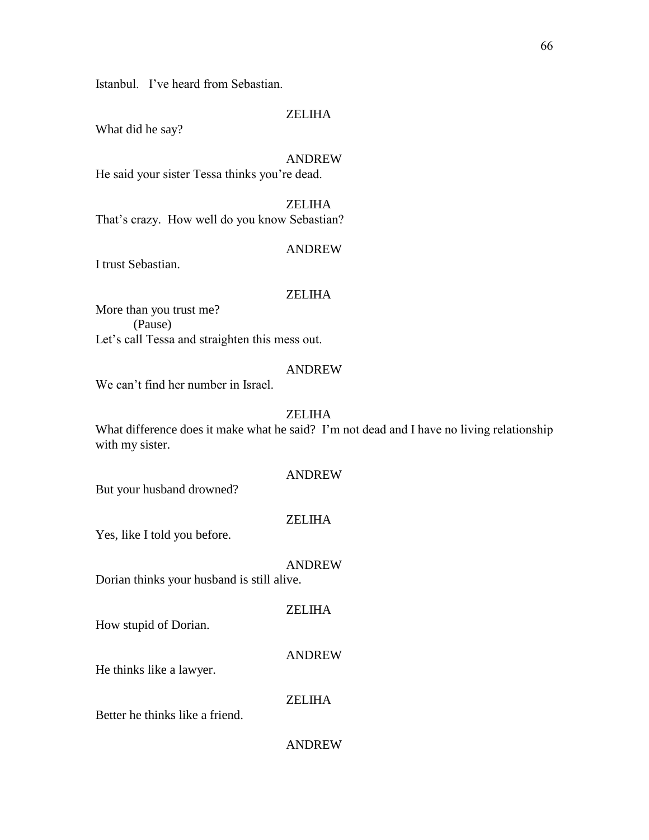Istanbul. I've heard from Sebastian.

### ZELIHA

What did he say?

### ANDREW

He said your sister Tessa thinks you're dead.

### ZELIHA That's crazy. How well do you know Sebastian?

#### ANDREW

I trust Sebastian.

#### ZELIHA

More than you trust me? (Pause) Let's call Tessa and straighten this mess out.

#### ANDREW

We can't find her number in Israel.

### ZELIHA

What difference does it make what he said? I'm not dead and I have no living relationship with my sister.

### ANDREW

But your husband drowned?

### ZELIHA

Yes, like I told you before.

#### ANDREW

Dorian thinks your husband is still alive.

### ZELIHA

How stupid of Dorian.

#### ANDREW

He thinks like a lawyer.

### ZELIHA

Better he thinks like a friend.

66

ANDREW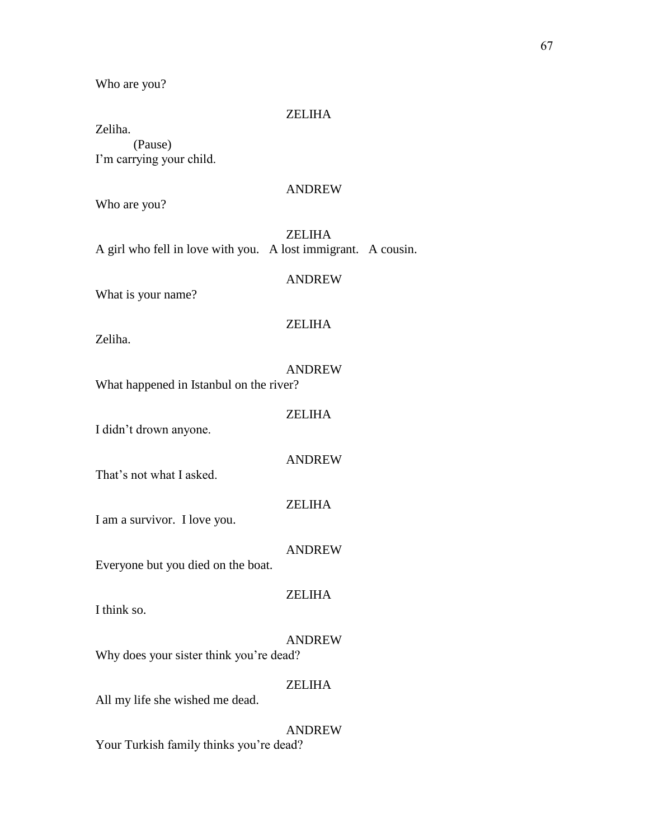Who are you?

#### ZELIHA

Zeliha. (Pause) I'm carrying your child.

#### ANDREW

Who are you?

### ZELIHA

A girl who fell in love with you. A lost immigrant. A cousin.

### ANDREW

What is your name?

### ZELIHA

Zeliha.

### ANDREW

What happened in Istanbul on the river?

### ZELIHA

I didn't drown anyone.

#### ANDREW

ZELIHA

That's not what I asked.

I am a survivor. I love you.

### ANDREW

Everyone but you died on the boat.

### I think so.

## ZELIHA

#### ANDREW

Why does your sister think you're dead?

### ZELIHA

All my life she wished me dead.

### ANDREW

Your Turkish family thinks you're dead?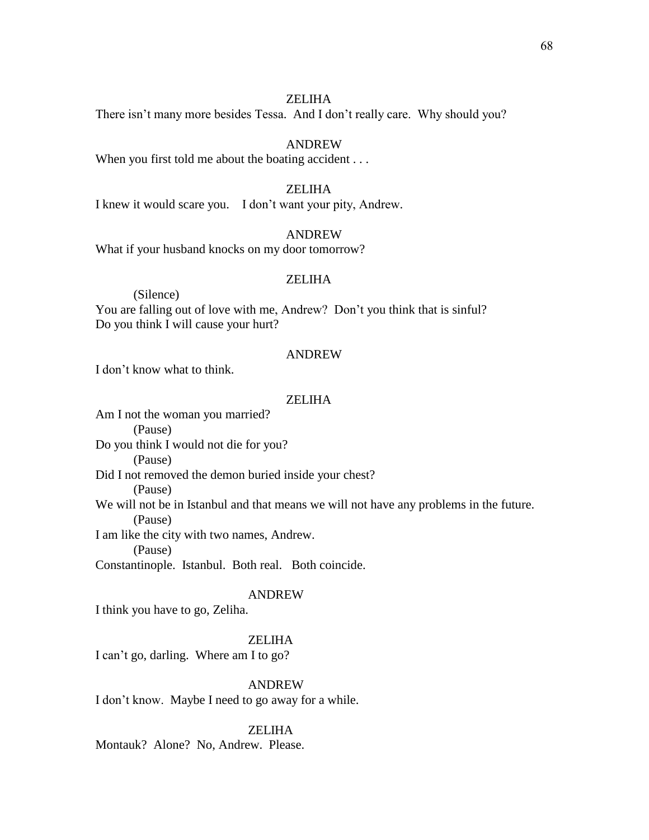There isn't many more besides Tessa. And I don't really care. Why should you?

#### ANDREW

When you first told me about the boating accident . . .

### ZELIHA

I knew it would scare you. I don't want your pity, Andrew.

### ANDREW

What if your husband knocks on my door tomorrow?

#### ZELIHA

(Silence)

You are falling out of love with me, Andrew? Don't you think that is sinful? Do you think I will cause your hurt?

#### ANDREW

I don't know what to think.

#### ZELIHA

Am I not the woman you married? (Pause) Do you think I would not die for you? (Pause) Did I not removed the demon buried inside your chest? (Pause) We will not be in Istanbul and that means we will not have any problems in the future. (Pause) I am like the city with two names, Andrew. (Pause)

Constantinople. Istanbul. Both real. Both coincide.

#### ANDREW

I think you have to go, Zeliha.

#### ZELIHA

I can't go, darling. Where am I to go?

ANDREW

I don't know. Maybe I need to go away for a while.

#### ZELIHA

Montauk? Alone? No, Andrew. Please.